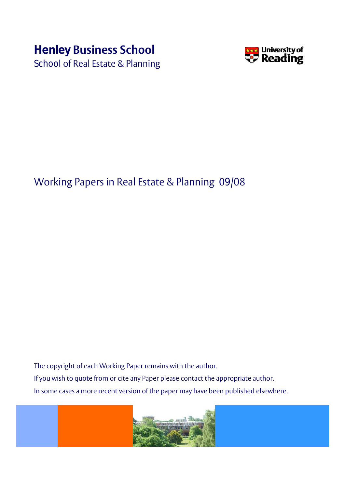# **Henley Business School**

School of Real Estate & Planning



## Working Papers in Real Estate & Planning 09/08

The copyright of each Working Paper remains with the author. If you wish to quote from or cite any Paper please contact the appropriate author. In some cases a more recent version of the paper may have been published elsewhere.

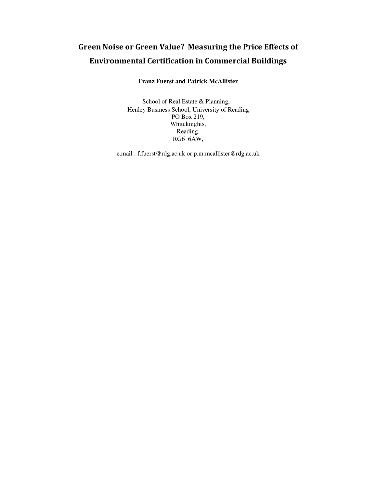## Green Noise or Green Value? Measuring the Price Effects of Environmental Certification in Commercial Buildings

### **Franz Fuerst and Patrick McAllister**

School of Real Estate & Planning, Henley Business School, University of Reading PO Box 219, Whiteknights, Reading, RG6 6AW,

e.mail : f.fuerst@rdg.ac.uk or p.m.mcallister@rdg.ac.uk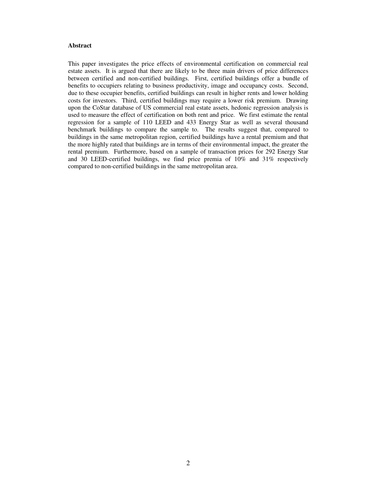#### **Abstract**

This paper investigates the price effects of environmental certification on commercial real estate assets. It is argued that there are likely to be three main drivers of price differences between certified and non-certified buildings. First, certified buildings offer a bundle of benefits to occupiers relating to business productivity, image and occupancy costs. Second, due to these occupier benefits, certified buildings can result in higher rents and lower holding costs for investors. Third, certified buildings may require a lower risk premium. Drawing upon the CoStar database of US commercial real estate assets, hedonic regression analysis is used to measure the effect of certification on both rent and price. We first estimate the rental regression for a sample of 110 LEED and 433 Energy Star as well as several thousand benchmark buildings to compare the sample to. The results suggest that, compared to buildings in the same metropolitan region, certified buildings have a rental premium and that the more highly rated that buildings are in terms of their environmental impact, the greater the rental premium. Furthermore, based on a sample of transaction prices for 292 Energy Star and 30 LEED-certified buildings, we find price premia of 10% and 31% respectively compared to non-certified buildings in the same metropolitan area.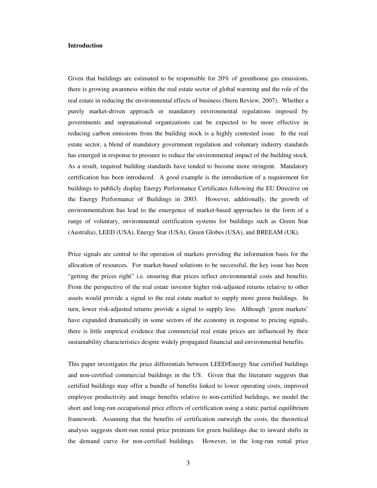#### **Introduction**

Given that buildings are estimated to be responsible for 20% of greenhouse gas emissions, there is growing awareness within the real estate sector of global warming and the role of the real estate in reducing the environmental effects of business (Stern Review, 2007). Whether a purely market-driven approach or mandatory environmental regulations imposed by governments and supranational organizations can be expected to be more effective in reducing carbon emissions from the building stock is a highly contested issue. In the real estate sector, a blend of mandatory government regulation and voluntary industry standards has emerged in response to pressure to reduce the environmental impact of the building stock. As a result, required building standards have tended to become more stringent. Mandatory certification has been introduced. A good example is the introduction of a requirement for buildings to publicly display Energy Performance Certificates following the EU Directive on the Energy Performance of Buildings in 2003. However, additionally, the growth of environmentalism has lead to the emergence of market-based approaches in the form of a range of voluntary, environmental certification systems for buildings such as Green Star (Australia), LEED (USA), Energy Star (USA), Green Globes (USA), and BREEAM (UK).

Price signals are central to the operation of markets providing the information basis for the allocation of resources. For market-based solutions to be successful, the key issue has been "getting the prices right" i.e. ensuring that prices reflect environmental costs and benefits. From the perspective of the real estate investor higher risk-adjusted returns relative to other assets would provide a signal to the real estate market to supply more green buildings. In turn, lower risk-adjusted returns provide a signal to supply less. Although 'green markets' have expanded dramatically in some sectors of the economy in response to pricing signals, there is little empirical evidence that commercial real estate prices are influenced by their sustainability characteristics despite widely propagated financial and environmental benefits.

This paper investigates the price differentials between LEED/Energy Star certified buildings and non-certified commercial buildings in the US. Given that the literature suggests that certified buildings may offer a bundle of benefits linked to lower operating costs, improved employee productivity and image benefits relative to non-certified buildings, we model the short and long-run occupational price effects of certification using a static partial equilibrium framework. Assuming that the benefits of certification outweigh the costs, the theoretical analysis suggests short-run rental price premium for green buildings due to inward shifts in the demand curve for non-certified buildings. However, in the long-run rental price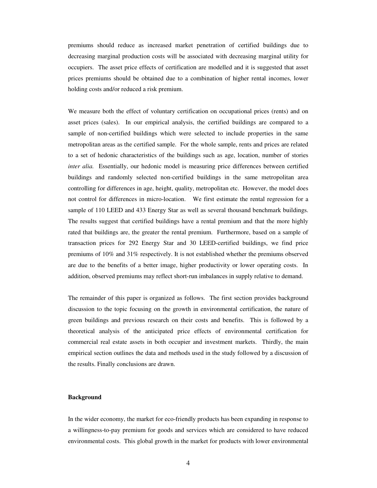premiums should reduce as increased market penetration of certified buildings due to decreasing marginal production costs will be associated with decreasing marginal utility for occupiers. The asset price effects of certification are modelled and it is suggested that asset prices premiums should be obtained due to a combination of higher rental incomes, lower holding costs and/or reduced a risk premium.

We measure both the effect of voluntary certification on occupational prices (rents) and on asset prices (sales). In our empirical analysis, the certified buildings are compared to a sample of non-certified buildings which were selected to include properties in the same metropolitan areas as the certified sample. For the whole sample, rents and prices are related to a set of hedonic characteristics of the buildings such as age, location, number of stories *inter alia.* Essentially, our hedonic model is measuring price differences between certified buildings and randomly selected non-certified buildings in the same metropolitan area controlling for differences in age, height, quality, metropolitan etc. However, the model does not control for differences in micro-location. We first estimate the rental regression for a sample of 110 LEED and 433 Energy Star as well as several thousand benchmark buildings. The results suggest that certified buildings have a rental premium and that the more highly rated that buildings are, the greater the rental premium. Furthermore, based on a sample of transaction prices for 292 Energy Star and 30 LEED-certified buildings, we find price premiums of 10% and 31% respectively. It is not established whether the premiums observed are due to the benefits of a better image, higher productivity or lower operating costs. In addition, observed premiums may reflect short-run imbalances in supply relative to demand.

The remainder of this paper is organized as follows. The first section provides background discussion to the topic focusing on the growth in environmental certification, the nature of green buildings and previous research on their costs and benefits. This is followed by a theoretical analysis of the anticipated price effects of environmental certification for commercial real estate assets in both occupier and investment markets. Thirdly, the main empirical section outlines the data and methods used in the study followed by a discussion of the results. Finally conclusions are drawn.

#### **Background**

In the wider economy, the market for eco-friendly products has been expanding in response to a willingness-to-pay premium for goods and services which are considered to have reduced environmental costs. This global growth in the market for products with lower environmental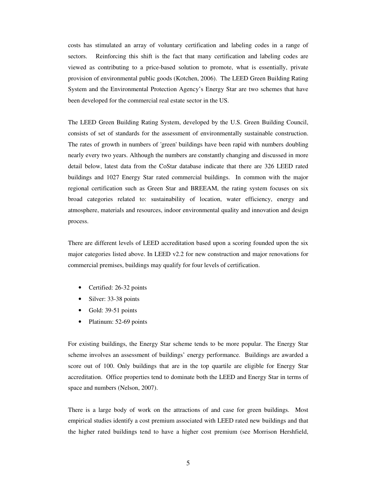costs has stimulated an array of voluntary certification and labeling codes in a range of sectors. Reinforcing this shift is the fact that many certification and labeling codes are viewed as contributing to a price-based solution to promote, what is essentially, private provision of environmental public goods (Kotchen, 2006). The LEED Green Building Rating System and the Environmental Protection Agency's Energy Star are two schemes that have been developed for the commercial real estate sector in the US.

The LEED Green Building Rating System, developed by the U.S. Green Building Council, consists of set of standards for the assessment of environmentally sustainable construction. The rates of growth in numbers of 'green' buildings have been rapid with numbers doubling nearly every two years. Although the numbers are constantly changing and discussed in more detail below, latest data from the CoStar database indicate that there are 326 LEED rated buildings and 1027 Energy Star rated commercial buildings. In common with the major regional certification such as Green Star and BREEAM, the rating system focuses on six broad categories related to: sustainability of location, water efficiency, energy and atmosphere, materials and resources, indoor environmental quality and innovation and design process.

There are different levels of LEED accreditation based upon a scoring founded upon the six major categories listed above. In LEED v2.2 for new construction and major renovations for commercial premises, buildings may qualify for four levels of certification.

- Certified: 26-32 points
- Silver: 33-38 points
- Gold: 39-51 points
- Platinum: 52-69 points

For existing buildings, the Energy Star scheme tends to be more popular. The Energy Star scheme involves an assessment of buildings' energy performance. Buildings are awarded a score out of 100. Only buildings that are in the top quartile are eligible for Energy Star accreditation. Office properties tend to dominate both the LEED and Energy Star in terms of space and numbers (Nelson, 2007).

There is a large body of work on the attractions of and case for green buildings. Most empirical studies identify a cost premium associated with LEED rated new buildings and that the higher rated buildings tend to have a higher cost premium (see Morrison Hershfield,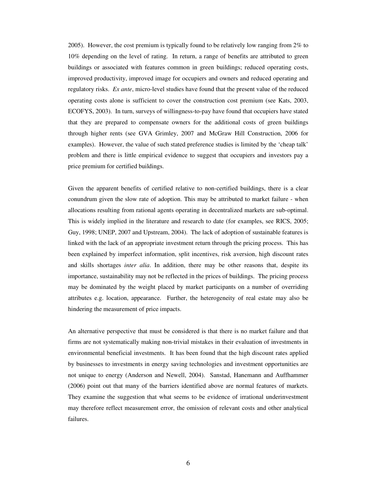2005). However, the cost premium is typically found to be relatively low ranging from 2% to 10% depending on the level of rating. In return, a range of benefits are attributed to green buildings or associated with features common in green buildings; reduced operating costs, improved productivity, improved image for occupiers and owners and reduced operating and regulatory risks. *Ex ante*, micro-level studies have found that the present value of the reduced operating costs alone is sufficient to cover the construction cost premium (see Kats, 2003, ECOFYS, 2003). In turn, surveys of willingness-to-pay have found that occupiers have stated that they are prepared to compensate owners for the additional costs of green buildings through higher rents (see GVA Grimley, 2007 and McGraw Hill Construction, 2006 for examples). However, the value of such stated preference studies is limited by the 'cheap talk' problem and there is little empirical evidence to suggest that occupiers and investors pay a price premium for certified buildings.

Given the apparent benefits of certified relative to non-certified buildings, there is a clear conundrum given the slow rate of adoption. This may be attributed to market failure - when allocations resulting from rational agents operating in decentralized markets are sub-optimal. This is widely implied in the literature and research to date (for examples, see RICS, 2005; Guy, 1998; UNEP, 2007 and Upstream, 2004). The lack of adoption of sustainable features is linked with the lack of an appropriate investment return through the pricing process. This has been explained by imperfect information, split incentives, risk aversion, high discount rates and skills shortages *inter alia*. In addition, there may be other reasons that, despite its importance, sustainability may not be reflected in the prices of buildings. The pricing process may be dominated by the weight placed by market participants on a number of overriding attributes e.g. location, appearance. Further, the heterogeneity of real estate may also be hindering the measurement of price impacts.

An alternative perspective that must be considered is that there is no market failure and that firms are not systematically making non-trivial mistakes in their evaluation of investments in environmental beneficial investments. It has been found that the high discount rates applied by businesses to investments in energy saving technologies and investment opportunities are not unique to energy (Anderson and Newell, 2004). Sanstad, Hanemann and Auffhammer (2006) point out that many of the barriers identified above are normal features of markets. They examine the suggestion that what seems to be evidence of irrational underinvestment may therefore reflect measurement error, the omission of relevant costs and other analytical failures.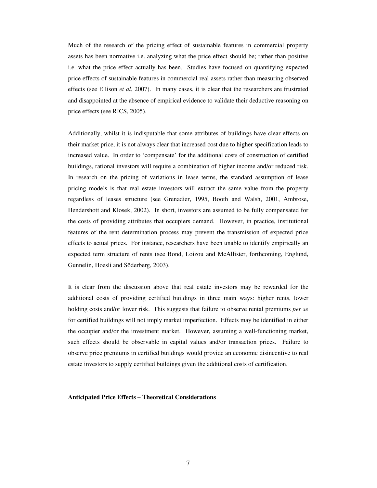Much of the research of the pricing effect of sustainable features in commercial property assets has been normative i.e. analyzing what the price effect should be; rather than positive i.e. what the price effect actually has been. Studies have focused on quantifying expected price effects of sustainable features in commercial real assets rather than measuring observed effects (see Ellison *et al*, 2007). In many cases, it is clear that the researchers are frustrated and disappointed at the absence of empirical evidence to validate their deductive reasoning on price effects (see RICS, 2005).

Additionally, whilst it is indisputable that some attributes of buildings have clear effects on their market price, it is not always clear that increased cost due to higher specification leads to increased value. In order to 'compensate' for the additional costs of construction of certified buildings, rational investors will require a combination of higher income and/or reduced risk. In research on the pricing of variations in lease terms, the standard assumption of lease pricing models is that real estate investors will extract the same value from the property regardless of leases structure (see Grenadier, 1995, Booth and Walsh, 2001, Ambrose, Hendershott and Klosek, 2002). In short, investors are assumed to be fully compensated for the costs of providing attributes that occupiers demand. However, in practice, institutional features of the rent determination process may prevent the transmission of expected price effects to actual prices. For instance, researchers have been unable to identify empirically an expected term structure of rents (see Bond, Loizou and McAllister, forthcoming, Englund, Gunnelin, Hoesli and Söderberg, 2003).

It is clear from the discussion above that real estate investors may be rewarded for the additional costs of providing certified buildings in three main ways: higher rents, lower holding costs and/or lower risk. This suggests that failure to observe rental premiums *per se* for certified buildings will not imply market imperfection. Effects may be identified in either the occupier and/or the investment market. However, assuming a well-functioning market, such effects should be observable in capital values and/or transaction prices. Failure to observe price premiums in certified buildings would provide an economic disincentive to real estate investors to supply certified buildings given the additional costs of certification.

#### **Anticipated Price Effects – Theoretical Considerations**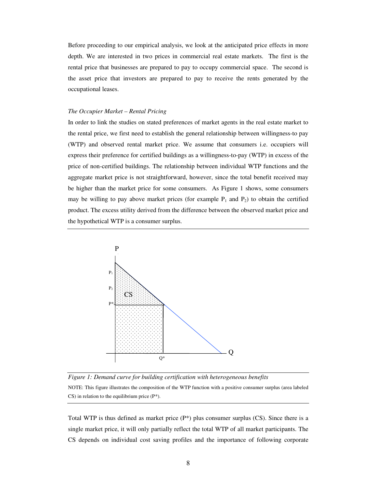Before proceeding to our empirical analysis, we look at the anticipated price effects in more depth. We are interested in two prices in commercial real estate markets. The first is the rental price that businesses are prepared to pay to occupy commercial space. The second is the asset price that investors are prepared to pay to receive the rents generated by the occupational leases.

#### *The Occupier Market – Rental Pricing*

In order to link the studies on stated preferences of market agents in the real estate market to the rental price, we first need to establish the general relationship between willingness-to pay (WTP) and observed rental market price. We assume that consumers i.e. occupiers will express their preference for certified buildings as a willingness-to-pay (WTP) in excess of the price of non-certified buildings. The relationship between individual WTP functions and the aggregate market price is not straightforward, however, since the total benefit received may be higher than the market price for some consumers. As Figure 1 shows, some consumers may be willing to pay above market prices (for example  $P_1$  and  $P_2$ ) to obtain the certified product. The excess utility derived from the difference between the observed market price and the hypothetical WTP is a consumer surplus.



*Figure 1: Demand curve for building certification with heterogeneous benefits*  NOTE: This figure illustrates the composition of the WTP function with a positive consumer surplus (area labeled  $CS$ ) in relation to the equilibrium price ( $P^*$ ).

Total WTP is thus defined as market price  $(P^*)$  plus consumer surplus (CS). Since there is a single market price, it will only partially reflect the total WTP of all market participants. The CS depends on individual cost saving profiles and the importance of following corporate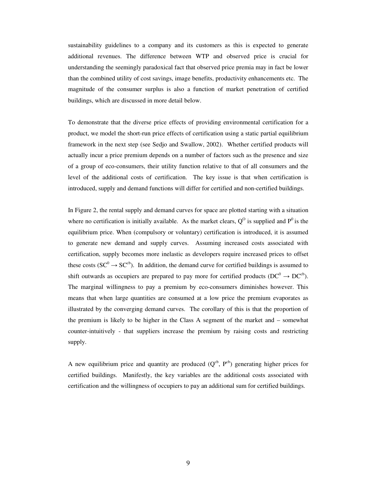sustainability guidelines to a company and its customers as this is expected to generate additional revenues. The difference between WTP and observed price is crucial for understanding the seemingly paradoxical fact that observed price premia may in fact be lower than the combined utility of cost savings, image benefits, productivity enhancements etc. The magnitude of the consumer surplus is also a function of market penetration of certified buildings, which are discussed in more detail below.

To demonstrate that the diverse price effects of providing environmental certification for a product, we model the short-run price effects of certification using a static partial equilibrium framework in the next step (see Sedjo and Swallow, 2002). Whether certified products will actually incur a price premium depends on a number of factors such as the presence and size of a group of eco-consumers, their utility function relative to that of all consumers and the level of the additional costs of certification. The key issue is that when certification is introduced, supply and demand functions will differ for certified and non-certified buildings.

In Figure 2, the rental supply and demand curves for space are plotted starting with a situation where no certification is initially available. As the market clears,  $Q^0$  is supplied and  $P^0$  is the equilibrium price. When (compulsory or voluntary) certification is introduced, it is assumed to generate new demand and supply curves. Assuming increased costs associated with certification, supply becomes more inelastic as developers require increased prices to offset these costs ( $SC^0 \rightarrow SC^{cb}$ ). In addition, the demand curve for certified buildings is assumed to shift outwards as occupiers are prepared to pay more for certified products ( $DC^0 \rightarrow DC^{cb}$ ). The marginal willingness to pay a premium by eco-consumers diminishes however. This means that when large quantities are consumed at a low price the premium evaporates as illustrated by the converging demand curves. The corollary of this is that the proportion of the premium is likely to be higher in the Class A segment of the market and – somewhat counter-intuitively - that suppliers increase the premium by raising costs and restricting supply.

A new equilibrium price and quantity are produced  $(Q^{cb}, P^{cb})$  generating higher prices for certified buildings. Manifestly, the key variables are the additional costs associated with certification and the willingness of occupiers to pay an additional sum for certified buildings.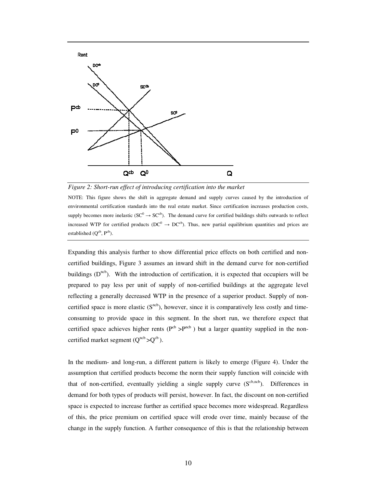



NOTE: This figure shows the shift in aggregate demand and supply curves caused by the introduction of environmental certification standards into the real estate market. Since certification increases production costs, supply becomes more inelastic ( $SC^0 \rightarrow SC^{cb}$ ). The demand curve for certified buildings shifts outwards to reflect increased WTP for certified products ( $DC^0 \rightarrow DC^{cb}$ ). Thus, new partial equilibrium quantities and prices are established  $(Q^{cb}, P^{cb})$ .

Expanding this analysis further to show differential price effects on both certified and noncertified buildings, Figure 3 assumes an inward shift in the demand curve for non-certified buildings  $(D<sup>ncb</sup>)$ . With the introduction of certification, it is expected that occupiers will be prepared to pay less per unit of supply of non-certified buildings at the aggregate level reflecting a generally decreased WTP in the presence of a superior product. Supply of noncertified space is more elastic  $(S^{ncb})$ , however, since it is comparatively less costly and timeconsuming to provide space in this segment. In the short run, we therefore expect that certified space achieves higher rents ( $P^{cb} > P^{ncb}$ ) but a larger quantity supplied in the noncertified market segment  $(Q^{ncb} > Q^{cb})$ .

In the medium- and long-run, a different pattern is likely to emerge (Figure 4). Under the assumption that certified products become the norm their supply function will coincide with that of non-certified, eventually yielding a single supply curve  $(S^{cb,ncb})$ . Differences in demand for both types of products will persist, however. In fact, the discount on non-certified space is expected to increase further as certified space becomes more widespread. Regardless of this, the price premium on certified space will erode over time, mainly because of the change in the supply function. A further consequence of this is that the relationship between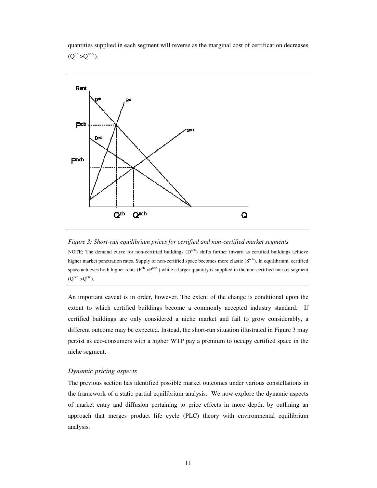quantities supplied in each segment will reverse as the marginal cost of certification decreases  $(Q^{cb} > Q^{ncb})$ .



*Figure 3: Short-run equilibrium prices for certified and non-certified market segments* 

NOTE: The demand curve for non-certified buildings  $(D^{ncb})$  shifts further inward as certified buildings achieve higher market penetration rates. Supply of non-certified space becomes more elastic (Sncb). In equilibrium, certified space achieves both higher rents ( $P^{cb} > P^{ncb}$ ) while a larger quantity is supplied in the non-certified market segment  $(Q^{ncb} > Q^{cb})$ .

An important caveat is in order, however. The extent of the change is conditional upon the extent to which certified buildings become a commonly accepted industry standard. If certified buildings are only considered a niche market and fail to grow considerably, a different outcome may be expected. Instead, the short-run situation illustrated in Figure 3 may persist as eco-consumers with a higher WTP pay a premium to occupy certified space in the niche segment.

#### *Dynamic pricing aspects*

The previous section has identified possible market outcomes under various constellations in the framework of a static partial equilibrium analysis. We now explore the dynamic aspects of market entry and diffusion pertaining to price effects in more depth, by outlining an approach that merges product life cycle (PLC) theory with environmental equilibrium analysis.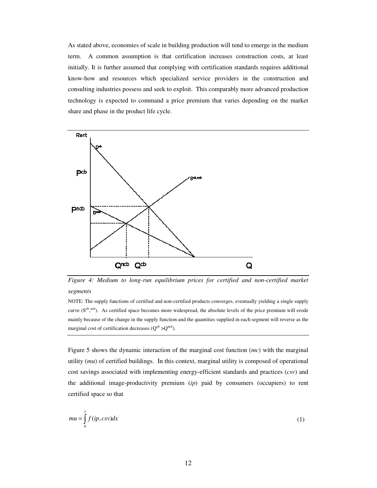As stated above, economies of scale in building production will tend to emerge in the medium term. A common assumption is that certification increases construction costs, at least initially. It is further assumed that complying with certification standards requires additional know-how and resources which specialized service providers in the construction and consulting industries possess and seek to exploit. This comparably more advanced production technology is expected to command a price premium that varies depending on the market share and phase in the product life cycle.



*Figure 4: Medium to long-run equilibrium prices for certified and non-certified market segments* 

NOTE: The supply functions of certified and non-certified products converges, eventually yielding a single supply curve  $(S^{cb},^{ncb})$ . As certified space becomes more widespread, the absolute levels of the price premium will erode mainly because of the change in the supply function and the quantities supplied in each segment will reverse as the marginal cost of certification decreases  $(Q^{cb} > Q^{ncb})$ .

Figure 5 shows the dynamic interaction of the marginal cost function (*mc*) with the marginal utility (*mu*) of certified buildings. In this context, marginal utility is composed of operational cost savings associated with implementing energy-efficient standards and practices (*csv*) and the additional image-productivity premium (*ip*) paid by consumers (occupiers) to rent certified space so that

$$
mu = \int_{0}^{1} f(ip, csv)dx
$$
 (1)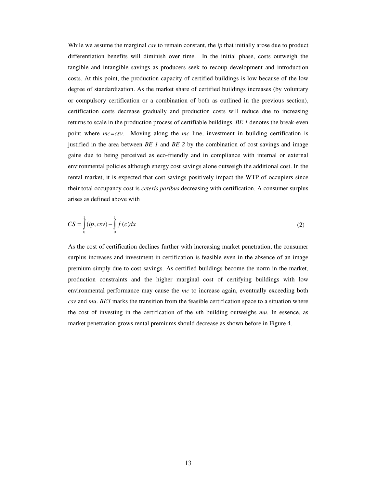While we assume the marginal *csv* to remain constant, the *ip* that initially arose due to product differentiation benefits will diminish over time. In the initial phase, costs outweigh the tangible and intangible savings as producers seek to recoup development and introduction costs. At this point, the production capacity of certified buildings is low because of the low degree of standardization. As the market share of certified buildings increases (by voluntary or compulsory certification or a combination of both as outlined in the previous section), certification costs decrease gradually and production costs will reduce due to increasing returns to scale in the production process of certifiable buildings. *BE 1* denotes the break-even point where *mc=csv*. Moving along the *mc* line, investment in building certification is justified in the area between *BE 1* and *BE 2* by the combination of cost savings and image gains due to being perceived as eco-friendly and in compliance with internal or external environmental policies although energy cost savings alone outweigh the additional cost. In the rental market, it is expected that cost savings positively impact the WTP of occupiers since their total occupancy cost is *ceteris paribus* decreasing with certification. A consumer surplus arises as defined above with

$$
CS = \int_{0}^{1} (ip, csv) - \int_{0}^{1} f(c)dx
$$
 (2)

As the cost of certification declines further with increasing market penetration, the consumer surplus increases and investment in certification is feasible even in the absence of an image premium simply due to cost savings. As certified buildings become the norm in the market, production constraints and the higher marginal cost of certifying buildings with low environmental performance may cause the *mc* to increase again, eventually exceeding both *csv* and *mu*. *BE3* marks the transition from the feasible certification space to a situation where the cost of investing in the certification of the *n*th building outweighs *mu*. In essence, as market penetration grows rental premiums should decrease as shown before in Figure 4.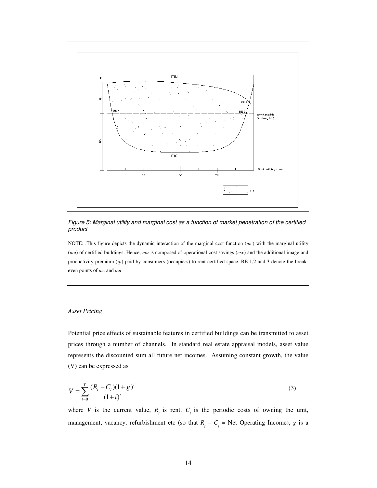

Figure 5: Marginal utility and marginal cost as a function of market penetration of the certified product

NOTE: .This figure depicts the dynamic interaction of the marginal cost function (*mc*) with the marginal utility (*mu*) of certified buildings. Hence, *mu* is composed of operational cost savings (*csv*) and the additional image and productivity premium (*ip*) paid by consumers (occupiers) to rent certified space. BE 1,2 and 3 denote the breakeven points of *mc* and *mu*.

#### *Asset Pricing*

Potential price effects of sustainable features in certified buildings can be transmitted to asset prices through a number of channels. In standard real estate appraisal models, asset value represents the discounted sum all future net incomes. Assuming constant growth, the value (V) can be expressed as

$$
V = \sum_{t=0}^{T} \frac{(R_t - C_t)(1 + g)^t}{(1 + i)^t}
$$
\n(3)

where *V* is the current value,  $R<sub>t</sub>$  is rent,  $C<sub>t</sub>$  is the periodic costs of owning the unit, management, vacancy, refurbishment etc (so that  $R<sub>t</sub> - C<sub>t</sub>$  = Net Operating Income), *g* is a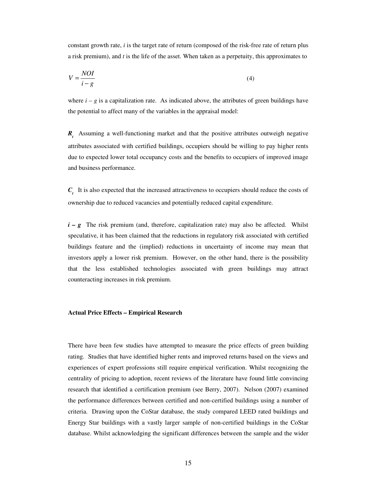constant growth rate, *i* is the target rate of return (composed of the risk-free rate of return plus a risk premium), and *t* is the life of the asset. When taken as a perpetuity, this approximates to

$$
V = \frac{NOI}{i - g} \tag{4}
$$

where  $i - g$  is a capitalization rate. As indicated above, the attributes of green buildings have the potential to affect many of the variables in the appraisal model:

*Rt* Assuming a well-functioning market and that the positive attributes outweigh negative attributes associated with certified buildings, occupiers should be willing to pay higher rents due to expected lower total occupancy costs and the benefits to occupiers of improved image and business performance.

*Ct* It is also expected that the increased attractiveness to occupiers should reduce the costs of ownership due to reduced vacancies and potentially reduced capital expenditure.

*i – g* The risk premium (and, therefore, capitalization rate) may also be affected. Whilst speculative, it has been claimed that the reductions in regulatory risk associated with certified buildings feature and the (implied) reductions in uncertainty of income may mean that investors apply a lower risk premium. However, on the other hand, there is the possibility that the less established technologies associated with green buildings may attract counteracting increases in risk premium.

#### **Actual Price Effects – Empirical Research**

There have been few studies have attempted to measure the price effects of green building rating. Studies that have identified higher rents and improved returns based on the views and experiences of expert professions still require empirical verification. Whilst recognizing the centrality of pricing to adoption, recent reviews of the literature have found little convincing research that identified a certification premium (see Berry, 2007). Nelson (2007) examined the performance differences between certified and non-certified buildings using a number of criteria. Drawing upon the CoStar database, the study compared LEED rated buildings and Energy Star buildings with a vastly larger sample of non-certified buildings in the CoStar database. Whilst acknowledging the significant differences between the sample and the wider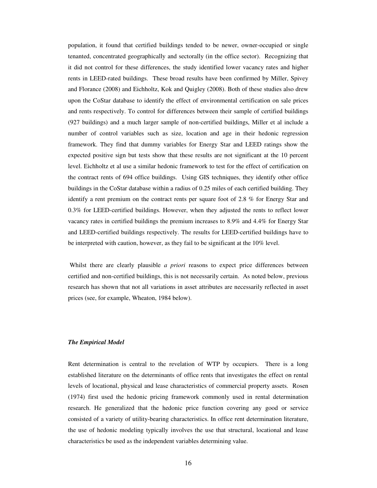population, it found that certified buildings tended to be newer, owner-occupied or single tenanted, concentrated geographically and sectorally (in the office sector). Recognizing that it did not control for these differences, the study identified lower vacancy rates and higher rents in LEED-rated buildings. These broad results have been confirmed by Miller, Spivey and Florance (2008) and Eichholtz, Kok and Quigley (2008). Both of these studies also drew upon the CoStar database to identify the effect of environmental certification on sale prices and rents respectively. To control for differences between their sample of certified buildings (927 buildings) and a much larger sample of non-certified buildings, Miller et al include a number of control variables such as size, location and age in their hedonic regression framework. They find that dummy variables for Energy Star and LEED ratings show the expected positive sign but tests show that these results are not significant at the 10 percent level. Eichholtz et al use a similar hedonic framework to test for the effect of certification on the contract rents of 694 office buildings. Using GIS techniques, they identify other office buildings in the CoStar database within a radius of 0.25 miles of each certified building. They identify a rent premium on the contract rents per square foot of 2.8 % for Energy Star and 0.3% for LEED-certified buildings. However, when they adjusted the rents to reflect lower vacancy rates in certified buildings the premium increases to 8.9% and 4.4% for Energy Star and LEED-certified buildings respectively. The results for LEED-certified buildings have to be interpreted with caution, however, as they fail to be significant at the 10% level.

 Whilst there are clearly plausible *a priori* reasons to expect price differences between certified and non-certified buildings, this is not necessarily certain. As noted below, previous research has shown that not all variations in asset attributes are necessarily reflected in asset prices (see, for example, Wheaton, 1984 below).

#### *The Empirical Model*

Rent determination is central to the revelation of WTP by occupiers. There is a long established literature on the determinants of office rents that investigates the effect on rental levels of locational, physical and lease characteristics of commercial property assets. Rosen (1974) first used the hedonic pricing framework commonly used in rental determination research. He generalized that the hedonic price function covering any good or service consisted of a variety of utility-bearing characteristics. In office rent determination literature, the use of hedonic modeling typically involves the use that structural, locational and lease characteristics be used as the independent variables determining value.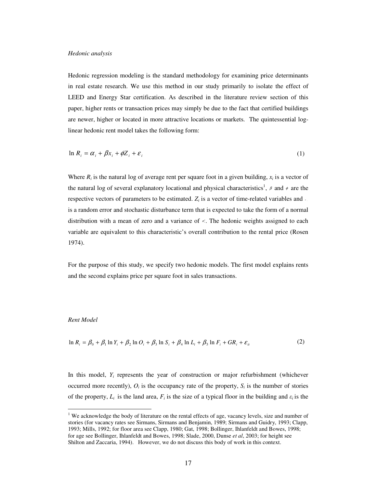#### *Hedonic analysis*

Hedonic regression modeling is the standard methodology for examining price determinants in real estate research. We use this method in our study primarily to isolate the effect of LEED and Energy Star certification. As described in the literature review section of this paper, higher rents or transaction prices may simply be due to the fact that certified buildings are newer, higher or located in more attractive locations or markets. The quintessential loglinear hedonic rent model takes the following form:

$$
\ln R_i = \alpha_i + \beta x_i + \phi Z_i + \varepsilon_i \tag{1}
$$

Where  $R_i$  is the natural log of average rent per square foot in a given building,  $x_i$  is a vector of the natural log of several explanatory locational and physical characteristics<sup>1</sup>,  $\beta$  and  $\phi$  are the respective vectors of parameters to be estimated.  $Z_i$  is a vector of time-related variables and  $i$ is a random error and stochastic disturbance term that is expected to take the form of a normal distribution with a mean of zero and a variance of  $\sigma$ . The hedonic weights assigned to each variable are equivalent to this characteristic's overall contribution to the rental price (Rosen 1974).

For the purpose of this study, we specify two hedonic models. The first model explains rents and the second explains price per square foot in sales transactions.

#### *Rent Model*

$$
\ln R_i = \beta_0 + \beta_1 \ln Y_i + \beta_2 \ln O_i + \beta_3 \ln S_i + \beta_4 \ln L_i + \beta_5 \ln F_i + GR_i + \varepsilon_{it}
$$
\n<sup>(2)</sup>

In this model,  $Y_i$  represents the year of construction or major refurbishment (whichever occurred more recently),  $O_i$  is the occupancy rate of the property,  $S_i$  is the number of stories of the property,  $L_i$  is the land area,  $F_i$  is the size of a typical floor in the building and  $\varepsilon_i$  is the

<sup>&</sup>lt;sup>1</sup> We acknowledge the body of literature on the rental effects of age, vacancy levels, size and number of stories (for vacancy rates see Sirmans, Sirmans and Benjamin, 1989; Sirmans and Guidry, 1993; Clapp, 1993; Mills, 1992; for floor area see Clapp, 1980; Gat, 1998; Bollinger, Ihlanfeldt and Bowes, 1998; for age see Bollinger, Ihlanfeldt and Bowes, 1998; Slade, 2000, Dunse *et al*, 2003; for height see Shilton and Zaccaria, 1994). However, we do not discuss this body of work in this context.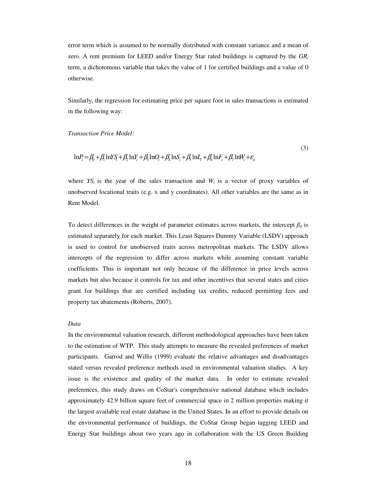error term which is assumed to be normally distributed with constant variance and a mean of zero. A rent premium for LEED and/or Energy Star rated buildings is captured by the *GR<sup>i</sup>* term, a dichotomous variable that takes the value of 1 for certified buildings and a value of 0 otherwise.

Similarly, the regression for estimating price per square foot in sales transactions is estimated in the following way:

*Transaction Price Model:* 

$$
\ln P_i = \beta_0 + \beta_1 \ln Y \sin \beta_1 + \beta_2 \ln Y_i + \beta_3 \ln Q_i + \beta_4 \ln S_i + \beta_5 \ln I_i + \beta_6 \ln F_i + \beta_7 \ln W_i + \varepsilon_i
$$

 $(3)$ 

where  $YS_i$  is the year of the sales transaction and  $W_i$  is a vector of proxy variables of unobserved locational traits (e.g. x and y coordinates). All other variables are the same as in Rent Model.

To detect differences in the weight of parameter estimates across markets, the intercept  $\beta_0$  is estimated separately for each market. This Least Squares Dummy Variable (LSDV) approach is used to control for unobserved traits across metropolitan markets. The LSDV allows intercepts of the regression to differ across markets while assuming constant variable coefficients. This is important not only because of the difference in price levels across markets but also because it controls for tax and other incentives that several states and cities grant for buildings that are certified including tax credits, reduced permitting fees and property tax abatements (Roberts, 2007).

#### *Data*

In the environmental valuation research, different methodological approaches have been taken to the estimation of WTP. This study attempts to measure the revealed preferences of market participants. Garrod and Willis (1999) evaluate the relative advantages and disadvantages stated versus revealed preference methods used in environmental valuation studies. A key issue is the existence and quality of the market data. In order to estimate revealed preferences, this study draws on CoStar's comprehensive national database which includes approximately 42.9 billion square feet of commercial space in 2 million properties making it the largest available real estate database in the United States. In an effort to provide details on the environmental performance of buildings, the CoStar Group began tagging LEED and Energy Star buildings about two years ago in collaboration with the US Green Building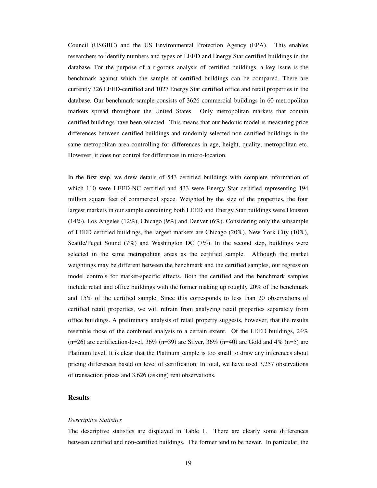Council (USGBC) and the US Environmental Protection Agency (EPA). This enables researchers to identify numbers and types of LEED and Energy Star certified buildings in the database. For the purpose of a rigorous analysis of certified buildings, a key issue is the benchmark against which the sample of certified buildings can be compared. There are currently 326 LEED-certified and 1027 Energy Star certified office and retail properties in the database. Our benchmark sample consists of 3626 commercial buildings in 60 metropolitan markets spread throughout the United States. Only metropolitan markets that contain certified buildings have been selected. This means that our hedonic model is measuring price differences between certified buildings and randomly selected non-certified buildings in the same metropolitan area controlling for differences in age, height, quality, metropolitan etc. However, it does not control for differences in micro-location.

In the first step, we drew details of 543 certified buildings with complete information of which 110 were LEED-NC certified and 433 were Energy Star certified representing 194 million square feet of commercial space. Weighted by the size of the properties, the four largest markets in our sample containing both LEED and Energy Star buildings were Houston (14%), Los Angeles (12%), Chicago (9%) and Denver (6%). Considering only the subsample of LEED certified buildings, the largest markets are Chicago (20%), New York City (10%), Seattle/Puget Sound (7%) and Washington DC (7%). In the second step, buildings were selected in the same metropolitan areas as the certified sample. Although the market weightings may be different between the benchmark and the certified samples, our regression model controls for market-specific effects. Both the certified and the benchmark samples include retail and office buildings with the former making up roughly 20% of the benchmark and 15% of the certified sample. Since this corresponds to less than 20 observations of certified retail properties, we will refrain from analyzing retail properties separately from office buildings. A preliminary analysis of retail property suggests, however, that the results resemble those of the combined analysis to a certain extent. Of the LEED buildings, 24%  $(n=26)$  are certification-level, 36%  $(n=39)$  are Silver, 36%  $(n=40)$  are Gold and 4%  $(n=5)$  are Platinum level. It is clear that the Platinum sample is too small to draw any inferences about pricing differences based on level of certification. In total, we have used 3,257 observations of transaction prices and 3,626 (asking) rent observations.

#### **Results**

#### *Descriptive Statistics*

The descriptive statistics are displayed in Table 1. There are clearly some differences between certified and non-certified buildings. The former tend to be newer. In particular, the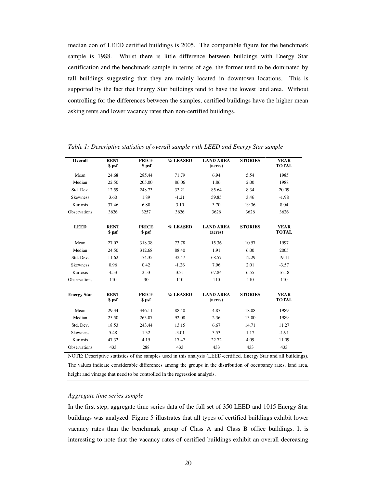median con of LEED certified buildings is 2005. The comparable figure for the benchmark sample is 1988. Whilst there is little difference between buildings with Energy Star certification and the benchmark sample in terms of age, the former tend to be dominated by tall buildings suggesting that they are mainly located in downtown locations. This is supported by the fact that Energy Star buildings tend to have the lowest land area. Without controlling for the differences between the samples, certified buildings have the higher mean asking rents and lower vacancy rates than non-certified buildings.

| Overall            | <b>RENT</b><br>\$ psf | <b>PRICE</b><br>\$ psf | % LEASED | <b>LAND AREA</b><br>(acres) | <b>STORIES</b> | <b>YEAR</b><br><b>TOTAL</b> |
|--------------------|-----------------------|------------------------|----------|-----------------------------|----------------|-----------------------------|
| Mean               | 24.68                 | 285.44                 | 71.79    | 6.94                        | 5.54           | 1985                        |
| Median             | 22.50                 | 205.00                 | 86.06    | 1.86                        | 2.00           | 1988                        |
| Std. Dev.          | 12.59                 | 248.73                 | 33.21    | 85.64                       | 8.34           | 20.09                       |
| Skewness           | 3.60                  | 1.89                   | $-1.21$  | 59.85                       | 3.46           | $-1.98$                     |
| Kurtosis           | 37.46                 | 6.80                   | 3.10     | 3.70                        | 19.36          | 8.04                        |
| Observations       | 3626                  | 3257                   | 3626     | 3626                        | 3626           | 3626                        |
| <b>LEED</b>        | <b>RENT</b><br>\$ psf | <b>PRICE</b><br>\$ psf | % LEASED | <b>LAND AREA</b><br>(acres) | <b>STORIES</b> | <b>YEAR</b><br><b>TOTAL</b> |
| Mean               | 27.07                 | 318.38                 | 73.78    | 15.36                       | 10.57          | 1997                        |
| Median             | 24.50                 | 312.68                 | 88.40    | 1.91                        | 6.00           | 2005                        |
| Std. Dev.          | 11.62                 | 174.35                 | 32.47    | 68.57                       | 12.29          | 19.41                       |
| <b>Skewness</b>    | 0.96                  | 0.42                   | $-1.26$  | 7.96                        | 2.01           | $-3.57$                     |
| Kurtosis           | 4.53                  | 2.53                   | 3.31     | 67.84                       | 6.55           | 16.18                       |
| Observations       | 110                   | 30                     | 110      | 110                         | 110            | 110                         |
| <b>Energy Star</b> | <b>RENT</b><br>\$ psf | <b>PRICE</b><br>\$ psf | % LEASED | <b>LAND AREA</b><br>(acres) | <b>STORIES</b> | <b>YEAR</b><br><b>TOTAL</b> |
| Mean               | 29.34                 | 346.11                 | 88.40    | 4.87                        | 18.08          | 1989                        |
| Median             | 25.50                 | 263.07                 | 92.08    | 2.36                        | 13.00          | 1989                        |
| Std. Dev.          | 18.53                 | 243.44                 | 13.15    | 6.67                        | 14.71          | 11.27                       |
| <b>Skewness</b>    | 5.48                  | 1.32                   | $-3.01$  | 3.53                        | 1.17           | $-1.91$                     |
| Kurtosis           | 47.32                 | 4.15                   | 17.47    | 22.72                       | 4.09           | 11.09                       |
| Observations       | 433                   | 288                    | 433      | 433                         | 433            | 433                         |

*Table 1: Descriptive statistics of overall sample with LEED and Energy Star sample* 

NOTE: Descriptive statistics of the samples used in this analysis (LEED-certified, Energy Star and all buildings). The values indicate considerable differences among the groups in the distribution of occupancy rates, land area, height and vintage that need to be controlled in the regression analysis.

#### *Aggregate time series sample*

In the first step, aggregate time series data of the full set of 350 LEED and 1015 Energy Star buildings was analyzed. Figure 5 illustrates that all types of certified buildings exhibit lower vacancy rates than the benchmark group of Class A and Class B office buildings. It is interesting to note that the vacancy rates of certified buildings exhibit an overall decreasing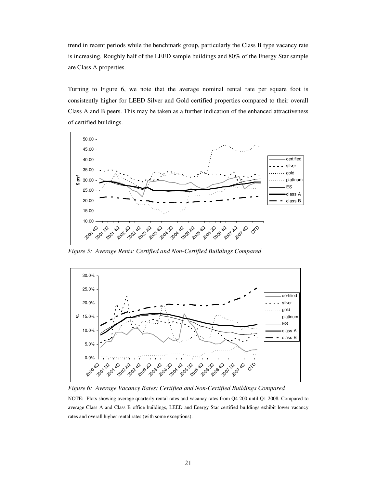trend in recent periods while the benchmark group, particularly the Class B type vacancy rate is increasing. Roughly half of the LEED sample buildings and 80% of the Energy Star sample are Class A properties.

Turning to Figure 6, we note that the average nominal rental rate per square foot is consistently higher for LEED Silver and Gold certified properties compared to their overall Class A and B peers. This may be taken as a further indication of the enhanced attractiveness of certified buildings.



*Figure 5: Average Rents: Certified and Non-Certified Buildings Compared* 



*Figure 6: Average Vacancy Rates: Certified and Non-Certified Buildings Compared*  NOTE: Plots showing average quarterly rental rates and vacancy rates from Q4 200 until Q1 2008. Compared to average Class A and Class B office buildings, LEED and Energy Star certified buildings exhibit lower vacancy rates and overall higher rental rates (with some exceptions).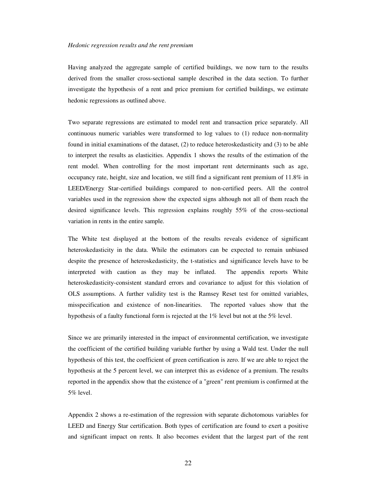#### *Hedonic regression results and the rent premium*

Having analyzed the aggregate sample of certified buildings, we now turn to the results derived from the smaller cross-sectional sample described in the data section. To further investigate the hypothesis of a rent and price premium for certified buildings, we estimate hedonic regressions as outlined above.

Two separate regressions are estimated to model rent and transaction price separately. All continuous numeric variables were transformed to log values to (1) reduce non-normality found in initial examinations of the dataset, (2) to reduce heteroskedasticity and (3) to be able to interpret the results as elasticities. Appendix 1 shows the results of the estimation of the rent model. When controlling for the most important rent determinants such as age, occupancy rate, height, size and location, we still find a significant rent premium of 11.8% in LEED/Energy Star-certified buildings compared to non-certified peers. All the control variables used in the regression show the expected signs although not all of them reach the desired significance levels. This regression explains roughly 55% of the cross-sectional variation in rents in the entire sample.

The White test displayed at the bottom of the results reveals evidence of significant heteroskedasticity in the data. While the estimators can be expected to remain unbiased despite the presence of heteroskedasticity, the t-statistics and significance levels have to be interpreted with caution as they may be inflated. The appendix reports White heteroskedasticity-consistent standard errors and covariance to adjust for this violation of OLS assumptions. A further validity test is the Ramsey Reset test for omitted variables, misspecification and existence of non-linearities. The reported values show that the hypothesis of a faulty functional form is rejected at the 1% level but not at the 5% level.

Since we are primarily interested in the impact of environmental certification, we investigate the coefficient of the certified building variable further by using a Wald test. Under the null hypothesis of this test, the coefficient of green certification is zero. If we are able to reject the hypothesis at the 5 percent level, we can interpret this as evidence of a premium. The results reported in the appendix show that the existence of a "green" rent premium is confirmed at the 5% level.

Appendix 2 shows a re-estimation of the regression with separate dichotomous variables for LEED and Energy Star certification. Both types of certification are found to exert a positive and significant impact on rents. It also becomes evident that the largest part of the rent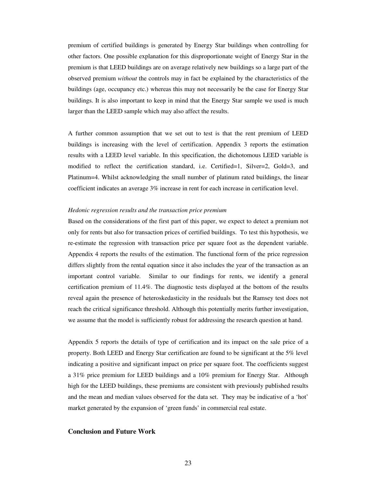premium of certified buildings is generated by Energy Star buildings when controlling for other factors. One possible explanation for this disproportionate weight of Energy Star in the premium is that LEED buildings are on average relatively new buildings so a large part of the observed premium *without* the controls may in fact be explained by the characteristics of the buildings (age, occupancy etc.) whereas this may not necessarily be the case for Energy Star buildings. It is also important to keep in mind that the Energy Star sample we used is much larger than the LEED sample which may also affect the results.

A further common assumption that we set out to test is that the rent premium of LEED buildings is increasing with the level of certification. Appendix 3 reports the estimation results with a LEED level variable. In this specification, the dichotomous LEED variable is modified to reflect the certification standard, i.e. Certified=1, Silver=2, Gold=3, and Platinum=4. Whilst acknowledging the small number of platinum rated buildings, the linear coefficient indicates an average 3% increase in rent for each increase in certification level.

#### *Hedonic regression results and the transaction price premium*

Based on the considerations of the first part of this paper, we expect to detect a premium not only for rents but also for transaction prices of certified buildings. To test this hypothesis, we re-estimate the regression with transaction price per square foot as the dependent variable. Appendix 4 reports the results of the estimation. The functional form of the price regression differs slightly from the rental equation since it also includes the year of the transaction as an important control variable. Similar to our findings for rents, we identify a general certification premium of 11.4%. The diagnostic tests displayed at the bottom of the results reveal again the presence of heteroskedasticity in the residuals but the Ramsey test does not reach the critical significance threshold. Although this potentially merits further investigation, we assume that the model is sufficiently robust for addressing the research question at hand.

Appendix 5 reports the details of type of certification and its impact on the sale price of a property. Both LEED and Energy Star certification are found to be significant at the 5% level indicating a positive and significant impact on price per square foot. The coefficients suggest a 31% price premium for LEED buildings and a 10% premium for Energy Star. Although high for the LEED buildings, these premiums are consistent with previously published results and the mean and median values observed for the data set. They may be indicative of a 'hot' market generated by the expansion of 'green funds' in commercial real estate.

#### **Conclusion and Future Work**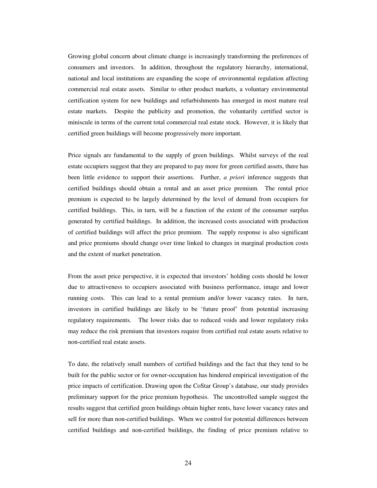Growing global concern about climate change is increasingly transforming the preferences of consumers and investors. In addition, throughout the regulatory hierarchy, international, national and local institutions are expanding the scope of environmental regulation affecting commercial real estate assets. Similar to other product markets, a voluntary environmental certification system for new buildings and refurbishments has emerged in most mature real estate markets. Despite the publicity and promotion, the voluntarily certified sector is miniscule in terms of the current total commercial real estate stock. However, it is likely that certified green buildings will become progressively more important.

Price signals are fundamental to the supply of green buildings. Whilst surveys of the real estate occupiers suggest that they are prepared to pay more for green certified assets, there has been little evidence to support their assertions. Further, *a priori* inference suggests that certified buildings should obtain a rental and an asset price premium. The rental price premium is expected to be largely determined by the level of demand from occupiers for certified buildings. This, in turn, will be a function of the extent of the consumer surplus generated by certified buildings. In addition, the increased costs associated with production of certified buildings will affect the price premium. The supply response is also significant and price premiums should change over time linked to changes in marginal production costs and the extent of market penetration.

From the asset price perspective, it is expected that investors' holding costs should be lower due to attractiveness to occupiers associated with business performance, image and lower running costs. This can lead to a rental premium and/or lower vacancy rates. In turn, investors in certified buildings are likely to be 'future proof' from potential increasing regulatory requirements. The lower risks due to reduced voids and lower regulatory risks may reduce the risk premium that investors require from certified real estate assets relative to non-certified real estate assets.

To date, the relatively small numbers of certified buildings and the fact that they tend to be built for the public sector or for owner-occupation has hindered empirical investigation of the price impacts of certification. Drawing upon the CoStar Group's database, our study provides preliminary support for the price premium hypothesis. The uncontrolled sample suggest the results suggest that certified green buildings obtain higher rents, have lower vacancy rates and sell for more than non-certified buildings. When we control for potential differences between certified buildings and non-certified buildings, the finding of price premium relative to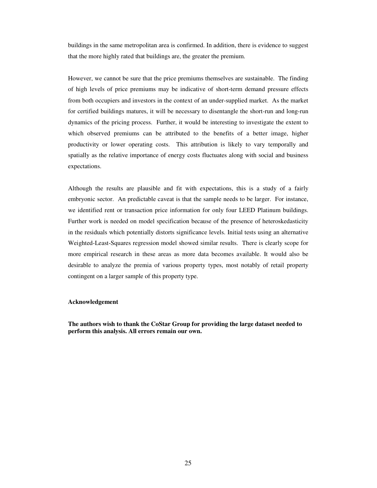buildings in the same metropolitan area is confirmed. In addition, there is evidence to suggest that the more highly rated that buildings are, the greater the premium.

However, we cannot be sure that the price premiums themselves are sustainable. The finding of high levels of price premiums may be indicative of short-term demand pressure effects from both occupiers and investors in the context of an under-supplied market. As the market for certified buildings matures, it will be necessary to disentangle the short-run and long-run dynamics of the pricing process. Further, it would be interesting to investigate the extent to which observed premiums can be attributed to the benefits of a better image, higher productivity or lower operating costs. This attribution is likely to vary temporally and spatially as the relative importance of energy costs fluctuates along with social and business expectations.

Although the results are plausible and fit with expectations, this is a study of a fairly embryonic sector. An predictable caveat is that the sample needs to be larger. For instance, we identified rent or transaction price information for only four LEED Platinum buildings. Further work is needed on model specification because of the presence of heteroskedasticity in the residuals which potentially distorts significance levels. Initial tests using an alternative Weighted-Least-Squares regression model showed similar results. There is clearly scope for more empirical research in these areas as more data becomes available. It would also be desirable to analyze the premia of various property types, most notably of retail property contingent on a larger sample of this property type.

#### **Acknowledgement**

**The authors wish to thank the CoStar Group for providing the large dataset needed to perform this analysis. All errors remain our own.**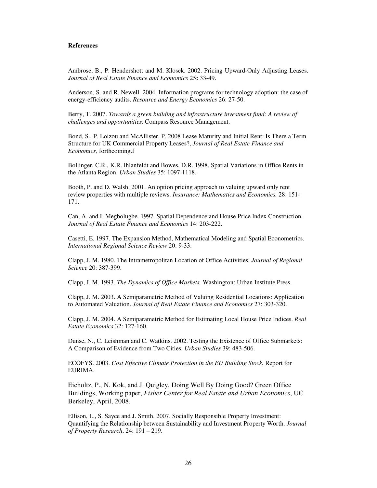#### **References**

Ambrose, B., P. Hendershott and M. Klosek. 2002. Pricing Upward-Only Adjusting Leases. *Journal of Real Estate Finance and Economics* 25**:** 33-49.

Anderson, S. and R. Newell. 2004. Information programs for technology adoption: the case of energy-efficiency audits. *Resource and Energy Economics* 26: 27-50.

Berry, T. 2007. *Towards a green building and infrastructure investment fund: A review of challenges and opportunities.* Compass Resource Management.

Bond, S., P. Loizou and McAllister, P. 2008 Lease Maturity and Initial Rent: Is There a Term Structure for UK Commercial Property Leases?, *Journal of Real Estate Finance and Economics,* forthcoming.f

Bollinger, C.R., K.R. Ihlanfeldt and Bowes, D.R. 1998. Spatial Variations in Office Rents in the Atlanta Region. *Urban Studies* 35: 1097-1118.

Booth, P. and D. Walsh. 2001. An option pricing approach to valuing upward only rent review properties with multiple reviews. *Insurance: Mathematics and Economics.* 28: 151- 171.

Can, A. and I. Megbolugbe. 1997. Spatial Dependence and House Price Index Construction. *Journal of Real Estate Finance and Economics* 14: 203-222.

Casetti, E. 1997. The Expansion Method, Mathematical Modeling and Spatial Econometrics. *International Regional Science Review* 20: 9-33.

Clapp, J. M. 1980. The Intrametropolitan Location of Office Activities. *Journal of Regional Science* 20: 387-399.

Clapp, J. M. 1993. *The Dynamics of Office Markets.* Washington: Urban Institute Press.

Clapp, J. M. 2003. A Semiparametric Method of Valuing Residential Locations: Application to Automated Valuation. *Journal of Real Estate Finance and Economics* 27: 303-320.

Clapp, J. M. 2004. A Semiparametric Method for Estimating Local House Price Indices. *Real Estate Economics* 32: 127-160.

Dunse, N., C. Leishman and C. Watkins. 2002. Testing the Existence of Office Submarkets: A Comparison of Evidence from Two Cities. *Urban Studies* 39: 483-506.

ECOFYS. 2003. *Cost Effective Climate Protection in the EU Building Stock.* Report for EURIMA.

Eicholtz, P., N. Kok, and J. Quigley, Doing Well By Doing Good? Green Office Buildings, Working paper, *Fisher Center for Real Estate and Urban Economics*, UC Berkeley, April, 2008.

Ellison, L., S. Sayce and J. Smith. 2007. Socially Responsible Property Investment: Quantifying the Relationship between Sustainability and Investment Property Worth. *Journal of Property Research*, 24: 191 – 219.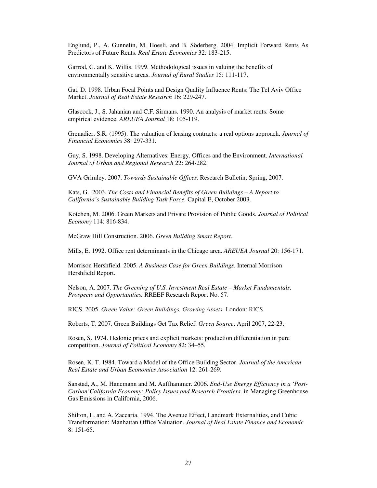Englund, P., A. Gunnelin, M. Hoesli, and B. Söderberg. 2004. Implicit Forward Rents As Predictors of Future Rents. *Real Estate Economics* 32: 183-215.

Garrod, G. and K. Willis. 1999. Methodological issues in valuing the benefits of environmentally sensitive areas. *Journal of Rural Studies* 15: 111-117.

Gat, D. 1998. Urban Focal Points and Design Quality Influence Rents: The Tel Aviv Office Market. *Journal of Real Estate Research* 16: 229-247.

Glascock, J., S. Jahanian and C.F. Sirmans. 1990. An analysis of market rents: Some empirical evidence. *AREUEA Journal* 18: 105-119.

Grenadier, S.R. (1995). The valuation of leasing contracts: a real options approach. *Journal of Financial Economics* 38: 297-331.

Guy, S. 1998. Developing Alternatives: Energy, Offices and the Environment. *International Journal of Urban and Regional Research* 22: 264-282.

GVA Grimley. 2007. *Towards Sustainable Offices.* Research Bulletin, Spring, 2007.

Kats, G. 2003. *The Costs and Financial Benefits of Green Buildings – A Report to California's Sustainable Building Task Force.* Capital E, October 2003.

Kotchen, M. 2006. Green Markets and Private Provision of Public Goods. *Journal of Political Economy* 114: 816-834.

McGraw Hill Construction. 2006. *Green Building Smart Report.*

Mills, E. 1992. Office rent determinants in the Chicago area. *AREUEA Journal* 20: 156-171.

Morrison Hershfield. 2005. *A Business Case for Green Buildings.* Internal Morrison Hershfield Report.

Nelson, A. 2007. *The Greening of U.S. Investment Real Estate – Market Fundamentals, Prospects and Opportunities.* RREEF Research Report No. 57.

RICS. 2005. *Green Value: Green Buildings, Growing Assets.* London: RICS.

Roberts, T. 2007. Green Buildings Get Tax Relief. *Green Source*, April 2007, 22-23.

Rosen, S. 1974. Hedonic prices and explicit markets: production differentiation in pure competition. *Journal of Political Economy* 82: 34–55.

Rosen, K. T. 1984. Toward a Model of the Office Building Sector. *Journal of the American Real Estate and Urban Economics Association* 12: 261-269.

Sanstad, A., M. Hanemann and M. Auffhammer. 2006. *End-Use Energy Efficiency in a 'Post-Carbon'California Economy: Policy Issues and Research Frontiers.* in Managing Greenhouse Gas Emissions in California, 2006.

Shilton, L. and A. Zaccaria. 1994. The Avenue Effect, Landmark Externalities, and Cubic Transformation: Manhattan Office Valuation. *Journal of Real Estate Finance and Economic*  8: 151-65.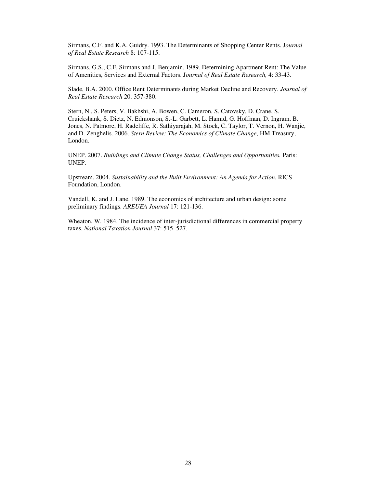Sirmans, C.F. and K.A. Guidry. 1993. The Determinants of Shopping Center Rents. J*ournal of Real Estate Research* 8: 107-115.

Sirmans, G.S., C.F. Sirmans and J. Benjamin. 1989. Determining Apartment Rent: The Value of Amenities, Services and External Factors. J*ournal of Real Estate Research,* 4: 33-43.

Slade, B.A. 2000. Office Rent Determinants during Market Decline and Recovery. *Journal of Real Estate Research* 20: 357-380.

Stern, N., S. Peters, V. Bakhshi, A. Bowen, C. Cameron, S. Catovsky, D. Crane, S. Cruickshank, S. Dietz, N. Edmonson, S.-L. Garbett, L. Hamid, G. Hoffman, D. Ingram, B. Jones, N. Patmore, H. Radcliffe, R. Sathiyarajah, M. Stock, C. Taylor, T. Vernon, H. Wanjie, and D. Zenghelis. 2006. *Stern Review: The Economics of Climate Change*, HM Treasury, London.

UNEP. 2007. *Buildings and Climate Change Status, Challenges and Opportunities.* Paris: UNEP.

Upstream. 2004. *Sustainability and the Built Environment: An Agenda for Action.* RICS Foundation, London.

Vandell, K. and J. Lane. 1989. The economics of architecture and urban design: some preliminary findings. *AREUEA Journal* 17: 121-136.

Wheaton, W. 1984. The incidence of inter-jurisdictional differences in commercial property taxes. *National Taxation Journal* 37: 515–527.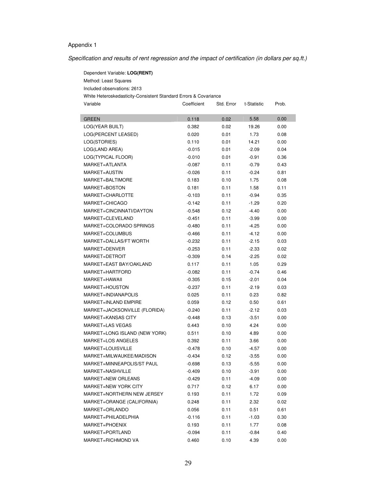## Appendix 1

Dependent Variable: **LOG(RENT)**

Specification and results of rent regression and the impact of certification (in dollars per sq.ft.)

| Method: Least Squares                                            |             |            |             |       |  |  |
|------------------------------------------------------------------|-------------|------------|-------------|-------|--|--|
| Included observations: 2613                                      |             |            |             |       |  |  |
| White Heteroskedasticity-Consistent Standard Errors & Covariance |             |            |             |       |  |  |
| Variable                                                         | Coefficient | Std. Error | t-Statistic | Prob. |  |  |
|                                                                  |             |            |             |       |  |  |
| <b>GREEN</b>                                                     | 0.118       | 0.02       | 5.58        | 0.00  |  |  |
| LOG(YEAR BUILT)                                                  | 0.382       | 0.02       | 19.26       | 0.00  |  |  |
| LOG(PERCENT LEASED)                                              | 0.020       | 0.01       | 1.73        | 0.08  |  |  |
| LOG(STORIES)                                                     | 0.110       | 0.01       | 14.21       | 0.00  |  |  |
| LOG(LAND AREA)                                                   | $-0.015$    | 0.01       | $-2.09$     | 0.04  |  |  |
| LOG(TYPICAL FLOOR)                                               | $-0.010$    | 0.01       | $-0.91$     | 0.36  |  |  |
| MARKET=ATLANTA                                                   | $-0.087$    | 0.11       | $-0.79$     | 0.43  |  |  |
| <b>MARKET=AUSTIN</b>                                             | -0.026      | 0.11       | $-0.24$     | 0.81  |  |  |
| MARKET=BALTIMORE                                                 | 0.183       | 0.10       | 1.75        | 0.08  |  |  |
| MARKET=BOSTON                                                    | 0.181       | 0.11       | 1.58        | 0.11  |  |  |
| MARKET=CHARLOTTE                                                 | -0.103      | 0.11       | $-0.94$     | 0.35  |  |  |
| MARKET=CHICAGO                                                   | $-0.142$    | 0.11       | $-1.29$     | 0.20  |  |  |
| MARKET=CINCINNATI/DAYTON                                         | $-0.548$    | 0.12       | $-4.40$     | 0.00  |  |  |
| MARKET=CLEVELAND                                                 | $-0.451$    | 0.11       | $-3.99$     | 0.00  |  |  |
| MARKET=COLORADO SPRINGS                                          | $-0.480$    | 0.11       | $-4.25$     | 0.00  |  |  |
| MARKET=COLUMBUS                                                  | $-0.466$    | 0.11       | $-4.12$     | 0.00  |  |  |
| MARKET=DALLAS/FT WORTH                                           | $-0.232$    | 0.11       | $-2.15$     | 0.03  |  |  |
| MARKET=DENVER                                                    | $-0.253$    | 0.11       | $-2.33$     | 0.02  |  |  |
| MARKET=DETROIT                                                   | $-0.309$    | 0.14       | $-2.25$     | 0.02  |  |  |
| MARKET=EAST BAY/OAKLAND                                          | 0.117       | 0.11       | 1.05        | 0.29  |  |  |
| MARKET=HARTFORD                                                  | $-0.082$    | 0.11       | $-0.74$     | 0.46  |  |  |
| MARKET=HAWAII                                                    | $-0.305$    | 0.15       | $-2.01$     | 0.04  |  |  |
| MARKET=HOUSTON                                                   | -0.237      | 0.11       | $-2.19$     | 0.03  |  |  |
| MARKET=INDIANAPOLIS                                              | 0.025       | 0.11       | 0.23        | 0.82  |  |  |
| MARKET=INLAND EMPIRE                                             | 0.059       | 0.12       | 0.50        | 0.61  |  |  |
| MARKET=JACKSONVILLE (FLORIDA)                                    | $-0.240$    | 0.11       | $-2.12$     | 0.03  |  |  |
| <b>MARKET=KANSAS CITY</b>                                        | $-0.448$    | 0.13       | $-3.51$     | 0.00  |  |  |
| <b>MARKET=LAS VEGAS</b>                                          | 0.443       | 0.10       | 4.24        | 0.00  |  |  |
| MARKET=LONG ISLAND (NEW YORK)                                    | 0.511       | 0.10       | 4.89        | 0.00  |  |  |
| <b>MARKET=LOS ANGELES</b>                                        | 0.392       | 0.11       | 3.66        | 0.00  |  |  |
| MARKET=LOUISVILLE                                                | $-0.478$    | 0.10       | $-4.57$     | 0.00  |  |  |
| MARKET=MILWAUKEE/MADISON                                         | $-0.434$    | 0.12       | $-3.55$     | 0.00  |  |  |
| MARKET=MINNEAPOLIS/ST PAUL                                       | $-0.698$    | 0.13       | $-5.55$     | 0.00  |  |  |
| MARKET=NASHVILLE                                                 | $-0.409$    | 0.10       | $-3.91$     | 0.00  |  |  |
| MARKET=NEW ORLEANS                                               | -0.429      | 0.11       | $-4.09$     | 0.00  |  |  |
| MARKET=NEW YORK CITY                                             | 0.717       | 0.12       | 6.17        | 0.00  |  |  |
| MARKET=NORTHERN NEW JERSEY                                       | 0.193       | 0.11       | 1.72        | 0.09  |  |  |
| MARKET=ORANGE (CALIFORNIA)                                       | 0.248       | 0.11       | 2.32        | 0.02  |  |  |
| MARKET=ORLANDO                                                   | 0.056       | 0.11       | 0.51        | 0.61  |  |  |
| MARKET=PHILADELPHIA                                              | $-0.116$    | 0.11       | $-1.03$     | 0.30  |  |  |
| MARKET=PHOENIX                                                   | 0.193       | 0.11       | 1.77        | 0.08  |  |  |
| MARKET=PORTLAND                                                  | $-0.094$    | 0.11       | $-0.84$     | 0.40  |  |  |
| MARKET=RICHMOND VA                                               | 0.460       | 0.10       | 4.39        | 0.00  |  |  |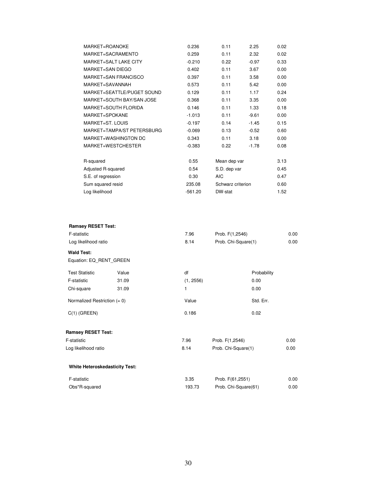| MARKET=ROANOKE              | 0.236     | 0.11              | 2.25    | 0.02 |
|-----------------------------|-----------|-------------------|---------|------|
| MARKET=SACRAMENTO           | 0.259     | 0.11              | 2.32    | 0.02 |
| MARKET=SALT LAKE CITY       | $-0.210$  | 0.22              | $-0.97$ | 0.33 |
| MARKET=SAN DIEGO            | 0.402     | 0.11              | 3.67    | 0.00 |
| MARKET=SAN FRANCISCO        | 0.397     | 0.11              | 3.58    | 0.00 |
| MARKET=SAVANNAH             | 0.573     | 0.11              | 5.42    | 0.00 |
| MARKET=SEATTLE/PUGET SOUND  | 0.129     | 0.11              | 1.17    | 0.24 |
| MARKET=SOUTH BAY/SAN JOSE   | 0.368     | 0.11              | 3.35    | 0.00 |
| <b>MARKET=SOUTH FLORIDA</b> | 0.146     | 0.11              | 1.33    | 0.18 |
| MARKET=SPOKANE              | $-1.013$  | 0.11              | $-9.61$ | 0.00 |
| MARKET=ST. LOUIS            | $-0.197$  | 0.14              | $-1.45$ | 0.15 |
| MARKET=TAMPA/ST PETERSBURG  | $-0.069$  | 0.13              | $-0.52$ | 0.60 |
| MARKET=WASHINGTON DC        | 0.343     | 0.11              | 3.18    | 0.00 |
| MARKET=WESTCHESTER          | $-0.383$  | 0.22              | $-1.78$ | 0.08 |
|                             |           |                   |         |      |
| R-squared                   | 0.55      | Mean dep var      |         | 3.13 |
| Adjusted R-squared          | 0.54      | S.D. dep var      |         | 0.45 |
| S.E. of regression          | 0.30      | <b>AIC</b>        |         | 0.47 |
| Sum squared resid           | 235.08    | Schwarz criterion |         | 0.60 |
| Log likelihood              | $-561.20$ | DW-stat           |         | 1.52 |

| <b>Ramsey RESET Test:</b>             |                      |           |                      |      |
|---------------------------------------|----------------------|-----------|----------------------|------|
| F-statistic                           |                      | 7.96      | Prob. F(1,2546)      | 0.00 |
|                                       | Log likelihood ratio |           | Prob. Chi-Square(1)  | 0.00 |
| <b>Wald Test:</b>                     |                      |           |                      |      |
| Equation: EQ_RENT_GREEN               |                      |           |                      |      |
| <b>Test Statistic</b>                 | Value                | df        | Probability          |      |
| F-statistic                           | 31.09                | (1, 2556) | 0.00                 |      |
| Chi-square                            | 31.09                | 1         | 0.00                 |      |
| Normalized Restriction $(= 0)$        |                      | Value     | Std. Err.            |      |
| $C(1)$ (GREEN)                        |                      | 0.186     | 0.02                 |      |
| <b>Ramsey RESET Test:</b>             |                      |           |                      |      |
| F-statistic                           |                      | 7.96      | Prob. F(1,2546)      | 0.00 |
| Log likelihood ratio                  |                      | 8.14      | Prob. Chi-Square(1)  | 0.00 |
| <b>White Heteroskedasticity Test:</b> |                      |           |                      |      |
| F-statistic                           |                      | 3.35      | Prob. F(61,2551)     | 0.00 |
| Obs*R-squared                         |                      | 193.73    | Prob. Chi-Square(61) | 0.00 |
|                                       |                      |           |                      |      |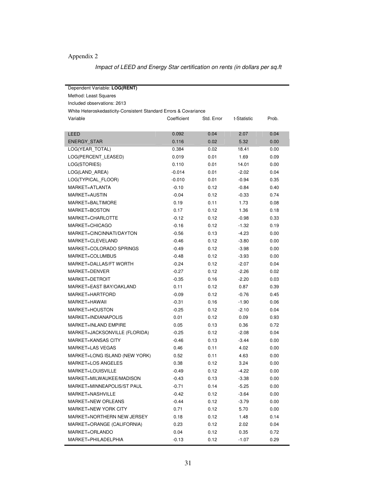## Appendix 2

Impact of LEED and Energy Star certification on rents (in dollars per sq.ft

| Dependent Variable: LOG(RENT) |                                                                  |            |             |       |  |  |  |  |
|-------------------------------|------------------------------------------------------------------|------------|-------------|-------|--|--|--|--|
| Method: Least Squares         |                                                                  |            |             |       |  |  |  |  |
| Included observations: 2613   |                                                                  |            |             |       |  |  |  |  |
|                               | White Heteroskedasticity-Consistent Standard Errors & Covariance |            |             |       |  |  |  |  |
| Variable                      | Coefficient                                                      | Std. Error | t-Statistic | Prob. |  |  |  |  |
|                               |                                                                  |            |             |       |  |  |  |  |
| LEED                          | 0.092                                                            | 0.04       | 2.07        | 0.04  |  |  |  |  |
| <b>ENERGY STAR</b>            | 0.116                                                            | 0.02       | 5.32        | 0.00  |  |  |  |  |
| LOG(YEAR_TOTAL)               | 0.384                                                            | 0.02       | 18.41       | 0.00  |  |  |  |  |
| LOG(PERCENT_LEASED)           | 0.019                                                            | 0.01       | 1.69        | 0.09  |  |  |  |  |
| LOG(STORIES)                  | 0.110                                                            | 0.01       | 14.01       | 0.00  |  |  |  |  |
| LOG(LAND_AREA)                | $-0.014$                                                         | 0.01       | $-2.02$     | 0.04  |  |  |  |  |
| LOG(TYPICAL FLOOR)            | $-0.010$                                                         | 0.01       | $-0.94$     | 0.35  |  |  |  |  |
| MARKET=ATLANTA                | $-0.10$                                                          | 0.12       | $-0.84$     | 0.40  |  |  |  |  |
| MARKET=AUSTIN                 | $-0.04$                                                          | 0.12       | $-0.33$     | 0.74  |  |  |  |  |
| MARKET=BALTIMORE              | 0.19                                                             | 0.11       | 1.73        | 0.08  |  |  |  |  |
| MARKET=BOSTON                 | 0.17                                                             | 0.12       | 1.36        | 0.18  |  |  |  |  |
| MARKET=CHARLOTTE              | $-0.12$                                                          | 0.12       | $-0.98$     | 0.33  |  |  |  |  |
| MARKET=CHICAGO                | $-0.16$                                                          | 0.12       | $-1.32$     | 0.19  |  |  |  |  |
| MARKET=CINCINNATI/DAYTON      | $-0.56$                                                          | 0.13       | -4.23       | 0.00  |  |  |  |  |
| MARKET=CLEVELAND              | $-0.46$                                                          | 0.12       | $-3.80$     | 0.00  |  |  |  |  |
| MARKET=COLORADO SPRINGS       | $-0.49$                                                          | 0.12       | $-3.98$     | 0.00  |  |  |  |  |
| MARKET=COLUMBUS               | $-0.48$                                                          | 0.12       | $-3.93$     | 0.00  |  |  |  |  |
| MARKET=DALLAS/FT WORTH        | $-0.24$                                                          | 0.12       | $-2.07$     | 0.04  |  |  |  |  |
| MARKET=DENVER                 | $-0.27$                                                          | 0.12       | $-2.26$     | 0.02  |  |  |  |  |
| MARKET=DETROIT                | $-0.35$                                                          | 0.16       | $-2.20$     | 0.03  |  |  |  |  |
| MARKET=EAST BAY/OAKLAND       | 0.11                                                             | 0.12       | 0.87        | 0.39  |  |  |  |  |
| MARKET=HARTFORD               | $-0.09$                                                          | 0.12       | $-0.76$     | 0.45  |  |  |  |  |
| MARKET=HAWAII                 | $-0.31$                                                          | 0.16       | $-1.90$     | 0.06  |  |  |  |  |
| MARKET=HOUSTON                | $-0.25$                                                          | 0.12       | $-2.10$     | 0.04  |  |  |  |  |
| MARKET=INDIANAPOLIS           | 0.01                                                             | 0.12       | 0.09        | 0.93  |  |  |  |  |
| MARKET=INLAND EMPIRE          | 0.05                                                             | 0.13       | 0.36        | 0.72  |  |  |  |  |
| MARKET=JACKSONVILLE (FLORIDA) | $-0.25$                                                          | 0.12       | $-2.08$     | 0.04  |  |  |  |  |
| <b>MARKET=KANSAS CITY</b>     | $-0.46$                                                          | 0.13       | $-3.44$     | 0.00  |  |  |  |  |
| <b>MARKET=LAS VEGAS</b>       | 0.46                                                             | 0.11       | 4.02        | 0.00  |  |  |  |  |
| MARKET=LONG ISLAND (NEW YORK) | 0.52                                                             | 0.11       | 4.63        | 0.00  |  |  |  |  |
| MARKET=LOS ANGELES            | 0.38                                                             | 0.12       | 3.24        | 0.00  |  |  |  |  |
| MARKET=LOUISVILLE             | $-0.49$                                                          | 0.12       | -4.22       | 0.00  |  |  |  |  |
| MARKET=MILWAUKEE/MADISON      | $-0.43$                                                          | 0.13       | $-3.38$     | 0.00  |  |  |  |  |
| MARKET=MINNEAPOLIS/ST PAUL    | $-0.71$                                                          | 0.14       | $-5.25$     | 0.00  |  |  |  |  |
| MARKET=NASHVILLE              | $-0.42$                                                          | 0.12       | $-3.64$     | 0.00  |  |  |  |  |
| <b>MARKET=NEW ORLEANS</b>     | $-0.44$                                                          | 0.12       | $-3.79$     | 0.00  |  |  |  |  |
| MARKET=NEW YORK CITY          | 0.71                                                             | 0.12       | 5.70        | 0.00  |  |  |  |  |
| MARKET=NORTHERN NEW JERSEY    | 0.18                                                             | 0.12       | 1.48        | 0.14  |  |  |  |  |
| MARKET=ORANGE (CALIFORNIA)    | 0.23                                                             | 0.12       | 2.02        | 0.04  |  |  |  |  |
| MARKET=ORLANDO                | 0.04                                                             | 0.12       | 0.35        | 0.72  |  |  |  |  |
| MARKET=PHILADELPHIA           | $-0.13$                                                          | 0.12       | $-1.07$     | 0.29  |  |  |  |  |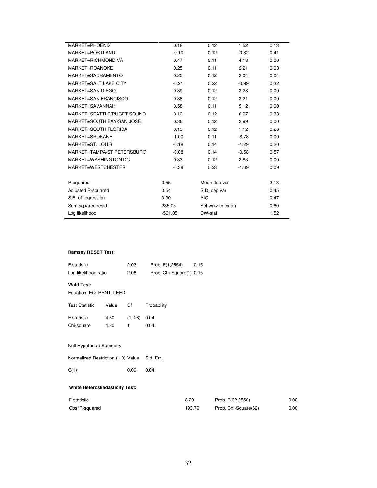| MARKET=PHOENIX               | 0.18      | 0.12              | 1.52    | 0.13 |
|------------------------------|-----------|-------------------|---------|------|
| MARKET=PORTLAND              | $-0.10$   | 0.12              | $-0.82$ | 0.41 |
| MARKET=RICHMOND VA           | 0.47      | 0.11              | 4.18    | 0.00 |
| MARKET=ROANOKE               | 0.25      | 0.11              | 2.21    | 0.03 |
| MARKET=SACRAMENTO            | 0.25      | 0.12              | 2.04    | 0.04 |
| <b>MARKET=SALT LAKE CITY</b> | $-0.21$   | 0.22              | $-0.99$ | 0.32 |
| MARKET=SAN DIEGO             | 0.39      | 0.12              | 3.28    | 0.00 |
| MARKET=SAN FRANCISCO         | 0.38      | 0.12              | 3.21    | 0.00 |
| MARKET=SAVANNAH              | 0.58      | 0.11              | 5.12    | 0.00 |
| MARKET=SEATTLE/PUGET SOUND   | 0.12      | 0.12              | 0.97    | 0.33 |
| MARKET=SOUTH BAY/SAN JOSE    | 0.36      | 0.12              | 2.99    | 0.00 |
| <b>MARKET=SOUTH FLORIDA</b>  | 0.13      | 0.12              | 1.12    | 0.26 |
| MARKET=SPOKANE               | $-1.00$   | 0.11              | $-8.78$ | 0.00 |
| MARKET=ST. LOUIS             | $-0.18$   | 0.14              | $-1.29$ | 0.20 |
| MARKET=TAMPA/ST PETERSBURG   | $-0.08$   | 0.14              | $-0.58$ | 0.57 |
| MARKET=WASHINGTON DC         | 0.33      | 0.12              | 2.83    | 0.00 |
| MARKET=WESTCHESTER           | $-0.38$   | 0.23              | $-1.69$ | 0.09 |
|                              |           |                   |         |      |
| R-squared                    | 0.55      | Mean dep var      |         | 3.13 |
| Adjusted R-squared           | 0.54      | S.D. dep var      |         | 0.45 |
| S.E. of regression           | 0.30      | <b>AIC</b>        |         | 0.47 |
| Sum squared resid            | 235.05    | Schwarz criterion |         | 0.60 |
| Log likelihood               | $-561.05$ | DW-stat           |         | 1.52 |
|                              |           |                   |         |      |

#### **Ramsey RESET Test:**

| F-statistic                                 |              | 2.03         | Prob. F(1,2554)          | 0.15   |                      |      |
|---------------------------------------------|--------------|--------------|--------------------------|--------|----------------------|------|
| Log likelihood ratio                        |              | 2.08         | Prob. Chi-Square(1) 0.15 |        |                      |      |
| <b>Wald Test:</b><br>Equation: EQ_RENT_LEED |              |              |                          |        |                      |      |
| <b>Test Statistic</b>                       | Value        | Df           | Probability              |        |                      |      |
| F-statistic<br>Chi-square                   | 4.30<br>4.30 | (1, 26)<br>1 | 0.04<br>0.04             |        |                      |      |
| Null Hypothesis Summary:                    |              |              |                          |        |                      |      |
| Normalized Restriction $(= 0)$ Value        |              |              | Std. Err.                |        |                      |      |
| C(1)                                        |              | 0.09         | 0.04                     |        |                      |      |
| <b>White Heteroskedasticity Test:</b>       |              |              |                          |        |                      |      |
| F-statistic                                 |              |              | 3.29                     |        | Prob. F(62,2550)     | 0.00 |
| Obs*R-squared                               |              |              |                          | 193.79 | Prob. Chi-Square(62) | 0.00 |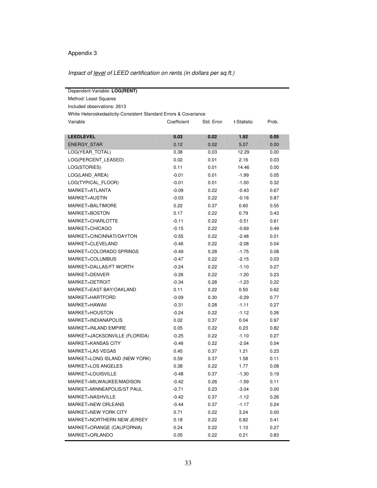### Appendix 3

| Impact of <u>level</u> of LEED certification on rents (in dollars per sq.ft.) |  |  |  |
|-------------------------------------------------------------------------------|--|--|--|
|                                                                               |  |  |  |

| Dependent Variable: LOG(RENT)                                    |             |            |             |       |  |  |  |
|------------------------------------------------------------------|-------------|------------|-------------|-------|--|--|--|
| Method: Least Squares                                            |             |            |             |       |  |  |  |
| Included observations: 2613                                      |             |            |             |       |  |  |  |
| White Heteroskedasticity-Consistent Standard Errors & Covariance |             |            |             |       |  |  |  |
| Variable                                                         | Coefficient | Std. Error | t-Statistic | Prob. |  |  |  |
|                                                                  |             |            |             |       |  |  |  |
| <b>LEEDLEVEL</b>                                                 | 0.03        | 0.02       | 1.92        | 0.05  |  |  |  |
| <b>ENERGY STAR</b>                                               | 0.12        | 0.02       | 5.07        | 0.00  |  |  |  |
| LOG(YEAR_TOTAL)                                                  | 0.38        | 0.03       | 12.29       | 0.00  |  |  |  |
| LOG(PERCENT_LEASED)                                              | 0.02        | 0.01       | 2.16        | 0.03  |  |  |  |
| LOG(STORIES)                                                     | 0.11        | 0.01       | 14.46       | 0.00  |  |  |  |
| LOG(LAND_AREA)                                                   | $-0.01$     | 0.01       | $-1.99$     | 0.05  |  |  |  |
| LOG(TYPICAL FLOOR)                                               | $-0.01$     | 0.01       | $-1.00$     | 0.32  |  |  |  |
| MARKET=ATLANTA                                                   | $-0.09$     | 0.22       | $-0.43$     | 0.67  |  |  |  |
| MARKET=AUSTIN                                                    | $-0.03$     | 0.22       | $-0.16$     | 0.87  |  |  |  |
| MARKET=BALTIMORE                                                 | 0.22        | 0.37       | 0.60        | 0.55  |  |  |  |
| MARKET=BOSTON                                                    | 0.17        | 0.22       | 0.79        | 0.43  |  |  |  |
| MARKET=CHARLOTTE                                                 | $-0.11$     | 0.22       | $-0.51$     | 0.61  |  |  |  |
| MARKET=CHICAGO                                                   | $-0.15$     | 0.22       | $-0.69$     | 0.49  |  |  |  |
| MARKET=CINCINNATI/DAYTON                                         | $-0.55$     | 0.22       | $-2.48$     | 0.01  |  |  |  |
| MARKET=CLEVELAND                                                 | $-0.46$     | 0.22       | $-2.08$     | 0.04  |  |  |  |
| MARKET=COLORADO SPRINGS                                          | $-0.49$     | 0.28       | $-1.75$     | 0.08  |  |  |  |
| MARKET=COLUMBUS                                                  | $-0.47$     | 0.22       | $-2.15$     | 0.03  |  |  |  |
| MARKET=DALLAS/FT WORTH                                           | $-0.24$     | 0.22       | $-1.10$     | 0.27  |  |  |  |
| MARKET=DENVER                                                    | $-0.26$     | 0.22       | $-1.20$     | 0.23  |  |  |  |
| MARKET=DETROIT                                                   | $-0.34$     | 0.28       | $-1.23$     | 0.22  |  |  |  |
| MARKET=EAST BAY/OAKLAND                                          | 0.11        | 0.22       | 0.50        | 0.62  |  |  |  |
| MARKET=HARTFORD                                                  | $-0.09$     | 0.30       | $-0.29$     | 0.77  |  |  |  |
| MARKET=HAWAII                                                    | $-0.31$     | 0.28       | $-1.11$     | 0.27  |  |  |  |
| MARKET=HOUSTON                                                   | $-0.24$     | 0.22       | $-1.12$     | 0.26  |  |  |  |
| MARKET=INDIANAPOLIS                                              | 0.02        | 0.37       | 0.04        | 0.97  |  |  |  |
| MARKET=INLAND EMPIRE                                             | 0.05        | 0.22       | 0.23        | 0.82  |  |  |  |
| MARKET=JACKSONVILLE (FLORIDA)                                    | $-0.25$     | 0.22       | $-1.10$     | 0.27  |  |  |  |
| MARKET=KANSAS CITY                                               | $-0.46$     | 0.22       | $-2.04$     | 0.04  |  |  |  |
| <b>MARKET=LAS VEGAS</b>                                          | 0.45        | 0.37       | 1.21        | 0.23  |  |  |  |
| MARKET=LONG ISLAND (NEW YORK)                                    | 0.59        | 0.37       | 1.58        | 0.11  |  |  |  |
| MARKET=LOS ANGELES                                               | 0.38        | 0.22       | 1.77        | 0.08  |  |  |  |
| MARKET=LOUISVILLE                                                | $-0.48$     | 0.37       | $-1.30$     | 0.19  |  |  |  |
| MARKET=MILWAUKEE/MADISON                                         | $-0.42$     | 0.26       | $-1.59$     | 0.11  |  |  |  |
| MARKET=MINNEAPOLIS/ST PAUL                                       | $-0.71$     | 0.23       | $-3.04$     | 0.00  |  |  |  |
| MARKET=NASHVILLE                                                 | $-0.42$     | 0.37       | $-1.12$     | 0.26  |  |  |  |
| <b>MARKET=NEW ORLEANS</b>                                        | $-0.44$     | 0.37       | $-1.17$     | 0.24  |  |  |  |
| MARKET=NEW YORK CITY                                             | 0.71        | 0.22       | 3.24        | 0.00  |  |  |  |
| MARKET=NORTHERN NEW JERSEY                                       | 0.18        | 0.22       | 0.82        | 0.41  |  |  |  |
| MARKET=ORANGE (CALIFORNIA)                                       | 0.24        | 0.22       | 1.10        | 0.27  |  |  |  |
| MARKET=ORLANDO                                                   | 0.05        | 0.22       | 0.21        | 0.83  |  |  |  |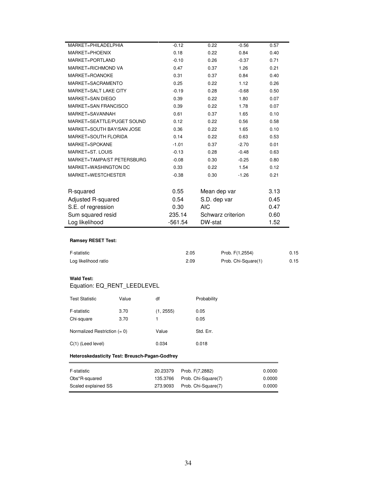| MARKET=PHILADELPHIA        | $-0.12$   | 0.22              | $-0.56$ | 0.57 |
|----------------------------|-----------|-------------------|---------|------|
| MARKET=PHOENIX             | 0.18      | 0.22              | 0.84    | 0.40 |
| MARKET=PORTLAND            | $-0.10$   | 0.26              | $-0.37$ | 0.71 |
| MARKET=RICHMOND VA         | 0.47      | 0.37              | 1.26    | 0.21 |
| MARKET=ROANOKE             | 0.31      | 0.37              | 0.84    | 0.40 |
| MARKET=SACRAMENTO          | 0.25      | 0.22              | 1.12    | 0.26 |
| MARKET=SALT LAKE CITY      | $-0.19$   | 0.28              | $-0.68$ | 0.50 |
| MARKET=SAN DIEGO           | 0.39      | 0.22              | 1.80    | 0.07 |
| MARKET=SAN FRANCISCO       |           |                   |         |      |
|                            | 0.39      | 0.22              | 1.78    | 0.07 |
| MARKET=SAVANNAH            | 0.61      | 0.37              | 1.65    | 0.10 |
| MARKET=SEATTLE/PUGET SOUND | 0.12      | 0.22              | 0.56    | 0.58 |
| MARKET=SOUTH BAY/SAN JOSE  | 0.36      | 0.22              | 1.65    | 0.10 |
| MARKET=SOUTH FLORIDA       | 0.14      | 0.22              | 0.63    | 0.53 |
| MARKET=SPOKANE             | $-1.01$   | 0.37              | $-2.70$ | 0.01 |
| MARKET=ST. LOUIS           | $-0.13$   | 0.28              | $-0.48$ | 0.63 |
| MARKET=TAMPA/ST PETERSBURG | $-0.08$   | 0.30              | $-0.25$ | 0.80 |
| MARKET=WASHINGTON DC       | 0.33      | 0.22              | 1.54    | 0.12 |
| MARKET=WESTCHESTER         | $-0.38$   | 0.30              | $-1.26$ | 0.21 |
|                            |           |                   |         |      |
| R-squared                  | 0.55      | Mean dep var      |         | 3.13 |
| Adjusted R-squared         | 0.54      | S.D. dep var      |         | 0.45 |
| S.E. of regression         | 0.30      | <b>AIC</b>        |         | 0.47 |
| Sum squared resid          | 235.14    | Schwarz criterion |         | 0.60 |
| Log likelihood             | $-561.54$ | DW-stat           |         | 1.52 |
|                            |           |                   |         |      |

#### **Ramsey RESET Test:**

| F-statistic          | 2.05 | Prob. F(1,2554)     | 0.15 |
|----------------------|------|---------------------|------|
| Log likelihood ratio | 2.09 | Prob. Chi-Square(1) | 0.15 |

#### **Wald Test:**

## Equation: EQ\_RENT\_LEEDLEVEL

| <b>Test Statistic</b>          | Value | df        | Probability |
|--------------------------------|-------|-----------|-------------|
| F-statistic                    | 3.70  | (1, 2555) | 0.05        |
| Chi-square                     | 3.70  | 1         | 0.05        |
| Normalized Restriction $(= 0)$ |       | Value     | Std. Err.   |
| $C(1)$ (Leed level)            |       | 0.034     | 0.018       |

#### **Heteroskedasticity Test: Breusch-Pagan-Godfrey**

| F-statistic         |          | 20.23379 Prob. F(7,2882)     | 0.0000 |
|---------------------|----------|------------------------------|--------|
| Obs*R-squared       |          | 135.3766 Prob. Chi-Square(7) | 0.0000 |
| Scaled explained SS | 273.9093 | Prob. Chi-Square(7)          | 0.0000 |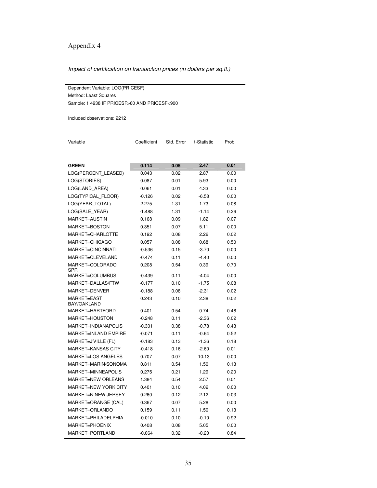## Appendix 4

Impact of certification on transaction prices (in dollars per sq.ft.)

Dependent Variable: LOG(PRICESF) Method: Least Squares Sample: 1 4938 IF PRICESF>60 AND PRICESF<900

Included observations: 2212

Variable Coefficient Std. Error t-Statistic Prob.

| <b>GREEN</b>                | 0.114    | 0.05 | 2.47    | 0.01 |
|-----------------------------|----------|------|---------|------|
| LOG(PERCENT_LEASED)         | 0.043    | 0.02 | 2.87    | 0.00 |
| LOG(STORIES)                | 0.087    | 0.01 | 5.93    | 0.00 |
| LOG(LAND AREA)              | 0.061    | 0.01 | 4.33    | 0.00 |
| LOG(TYPICAL_FLOOR)          | $-0.126$ | 0.02 | $-6.58$ | 0.00 |
| LOG(YEAR_TOTAL)             | 2.275    | 1.31 | 1.73    | 0.08 |
| LOG(SALE_YEAR)              | $-1.488$ | 1.31 | $-1.14$ | 0.26 |
| MARKET=AUSTIN               | 0.168    | 0.09 | 1.82    | 0.07 |
| MARKET=BOSTON               | 0.351    | 0.07 | 5.11    | 0.00 |
| MARKET=CHARLOTTE            | 0.192    | 0.08 | 2.26    | 0.02 |
| MARKET=CHICAGO              | 0.057    | 0.08 | 0.68    | 0.50 |
| MARKET=CINCINNATI           | $-0.536$ | 0.15 | $-3.70$ | 0.00 |
| MARKET=CLEVELAND            | $-0.474$ | 0.11 | $-4.40$ | 0.00 |
| MARKET=COLORADO<br>SPR      | 0.208    | 0.54 | 0.39    | 0.70 |
| MARKET=COLUMBUS             | $-0.439$ | 0.11 | -4.04   | 0.00 |
| MARKET=DALLAS/FTW           | $-0.177$ | 0.10 | $-1.75$ | 0.08 |
| MARKET=DENVER               | $-0.188$ | 0.08 | $-2.31$ | 0.02 |
| MARKET=EAST<br>BAY/OAKLAND  | 0.243    | 0.10 | 2.38    | 0.02 |
| MARKET=HARTFORD             | 0.401    | 0.54 | 0.74    | 0.46 |
| MARKET=HOUSTON              | $-0.248$ | 0.11 | -2.36   | 0.02 |
| MARKET=INDIANAPOLIS         | $-0.301$ | 0.38 | $-0.78$ | 0.43 |
| <b>MARKET=INLAND EMPIRE</b> | $-0.071$ | 0.11 | -0.64   | 0.52 |
| MARKET=J'VILLE (FL)         | $-0.183$ | 0.13 | $-1.36$ | 0.18 |
| MARKET=KANSAS CITY          | $-0.418$ | 0.16 | $-2.60$ | 0.01 |
| <b>MARKET=LOS ANGELES</b>   | 0.707    | 0.07 | 10.13   | 0.00 |
| MARKET=MARIN/SONOMA         | 0.811    | 0.54 | 1.50    | 0.13 |
| MARKET=MINNEAPOLIS          | 0.275    | 0.21 | 1.29    | 0.20 |
| MARKET=NEW ORLEANS          | 1.384    | 0.54 | 2.57    | 0.01 |
| MARKET=NEW YORK CITY        | 0.401    | 0.10 | 4.02    | 0.00 |
| MARKET=N NEW JERSEY         | 0.260    | 0.12 | 2.12    | 0.03 |
| MARKET=ORANGE (CAL)         | 0.367    | 0.07 | 5.28    | 0.00 |
| MARKET=ORLANDO              | 0.159    | 0.11 | 1.50    | 0.13 |
| MARKET=PHILADELPHIA         | $-0.010$ | 0.10 | -0.10   | 0.92 |
| MARKET=PHOENIX              | 0.408    | 0.08 | 5.05    | 0.00 |
| MARKET=PORTLAND             | $-0.064$ | 0.32 | $-0.20$ | 0.84 |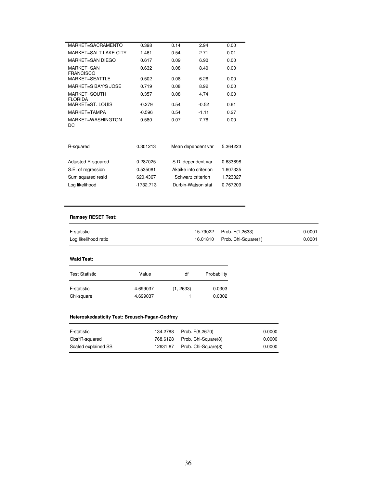| MARKET=SACRAMENTO              | 0.398       | 0.14 | 2.94                  | 0.00     |
|--------------------------------|-------------|------|-----------------------|----------|
| MARKET=SALT LAKE CITY          | 1.461       | 0.54 | 2.71                  | 0.01     |
| MARKET=SAN DIEGO               | 0.617       | 0.09 | 6.90                  | 0.00     |
| MARKET=SAN<br><b>FRANCISCO</b> | 0.632       | 0.08 | 8.40                  | 0.00     |
| MARKET=SEATTLE                 | 0.502       | 0.08 | 6.26                  | 0.00     |
| MARKET=S BAY/S JOSE            | 0.719       | 0.08 | 8.92                  | 0.00     |
| MARKET=SOUTH<br><b>FLORIDA</b> | 0.357       | 0.08 | 4.74                  | 0.00     |
| MARKET=ST. LOUIS               | $-0.279$    | 0.54 | $-0.52$               | 0.61     |
| MARKET=TAMPA                   | $-0.596$    | 0.54 | $-1.11$               | 0.27     |
| MARKET=WASHINGTON<br>DC        | 0.580       | 0.07 | 7.76                  | 0.00     |
| R-squared                      | 0.301213    |      | Mean dependent var    | 5.364223 |
| Adjusted R-squared             | 0.287025    |      | S.D. dependent var    | 0.633698 |
| S.E. of regression             | 0.535081    |      | Akaike info criterion | 1.607335 |
| Sum squared resid              | 620.4367    |      | Schwarz criterion     | 1.723327 |
| Log likelihood                 | $-1732.713$ |      | Durbin-Watson stat    | 0.767209 |

#### **Ramsey RESET Test:**

| F-statistic          | 15.79022 Prob. F(1,2633)     | 0.0001 |
|----------------------|------------------------------|--------|
| Log likelihood ratio | 16.01810 Prob. Chi-Square(1) | 0.0001 |

#### **Wald Test:**

 $\blacksquare$ 

| <b>Test Statistic</b> | Value    | df        | Probability |
|-----------------------|----------|-----------|-------------|
| F-statistic           | 4.699037 | (1, 2633) | 0.0303      |
| Chi-square            | 4.699037 |           | 0.0302      |

#### **Heteroskedasticity Test: Breusch-Pagan-Godfrey**

| 0.0000 |
|--------|
| 0.0000 |
| 0.0000 |
|        |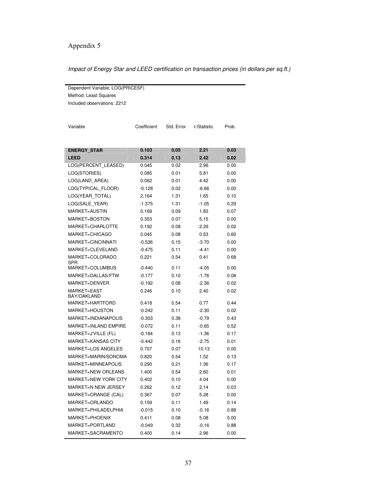## Appendix 5

#### Impact of Energy Star and LEED certification on transaction prices (in dollars per sq.ft.)

Dependent Variable: LOG(PRICESF) Method: Least Squares Included observations: 2212

| <b>ENERGY STAR</b><br>0.103<br>0.05<br>2.21<br>0.03<br>2.42<br><b>LEED</b><br>0.314<br>0.13<br>0.02<br>LOG(PERCENT LEASED)<br>0.045<br>0.02<br>2.96<br>0.00<br>LOG(STORIES)<br>0.085<br>0.01<br>5.81<br>0.00<br>LOG(LAND AREA)<br>0.062<br>0.01<br>4.42<br>0.00<br>LOG(TYPICAL FLOOR)<br>$-0.128$<br>0.02<br>$-6.66$<br>0.00<br>LOG(YEAR_TOTAL)<br>2.164<br>1.31<br>1.65<br>0.10<br>LOG(SALE YEAR)<br>$-1.375$<br>1.31<br>$-1.05$<br>0.29<br><b>MARKET=AUSTIN</b><br>0.169<br>0.09<br>1.83<br>0.07<br>MARKET=BOSTON<br>0.353<br>0.07<br>5.15<br>0.00<br>MARKET=CHARLOTTE<br>0.192<br>2.26<br>0.02<br>0.08<br>MARKET=CHICAGO<br>0.045<br>0.08<br>0.53<br>0.60<br>MARKET=CINCINNATI<br>$-0.536$<br>$-3.70$<br>0.15<br>0.00<br>MARKET=CLEVELAND<br>$-0.475$<br>0.11<br>$-4.41$<br>0.00<br>MARKET=COLORADO<br>0.221<br>0.54<br>0.41<br>0.68<br><b>SPR</b><br>MARKET=COLUMBUS<br>$-0.440$<br>0.11<br>$-4.05$<br>0.00<br>MARKET=DALLAS/FTW<br>$-0.177$<br>0.10<br>$-1.76$<br>0.08<br>MARKET=DENVER<br>$-0.192$<br>0.08<br>$-2.36$<br>0.02<br>MARKET=EAST<br>0.246<br>0.10<br>2.40<br>0.02<br>BAY/OAKLAND<br>MARKET=HARTFORD<br>0.54<br>0.77<br>0.44<br>0.418<br>MARKET=HOUSTON<br>$-0.242$<br>0.11<br>$-2.30$<br>0.02<br>MARKET=INDIANAPOLIS<br>$-0.303$<br>0.38<br>$-0.79$<br>0.43<br><b>MARKET=INLAND EMPIRE</b><br>0.52<br>$-0.072$<br>0.11<br>$-0.65$<br>MARKET=J'VILLE (FL)<br>$-1.36$<br>0.17<br>$-0.184$<br>0.13<br><b>MARKET=KANSAS CITY</b><br>$-2.75$<br>-0.442<br>0.16<br>0.01<br><b>MARKET=LOS ANGELES</b><br>0.707<br>0.07<br>10.13<br>0.00<br>MARKET=MARIN/SONOMA<br>0.820<br>0.54<br>1.52<br>0.13<br>MARKET=MINNEAPOLIS<br>0.21<br>1.36<br>0.17<br>0.290<br>MARKET=NEW ORLEANS<br>0.54<br>2.60<br>1.400<br>0.01<br>MARKET=NEW YORK CITY<br>0.402<br>0.10<br>4.04<br>0.00<br>MARKET=N NEW JERSEY<br>0.262<br>0.12<br>2.14<br>0.03<br>MARKET=ORANGE (CAL)<br>5.28<br>0.367<br>0.07<br>0.00<br>MARKET=ORLANDO<br>0.159<br>0.11<br>1.49<br>0.14<br>MARKET=PHILADELPHIA<br>$-0.16$<br>0.88<br>$-0.015$<br>0.10<br>MARKET=PHOENIX<br>0.08<br>5.08<br>0.00<br>0.411<br>MARKET=PORTLAND<br>$-0.049$<br>0.32<br>$-0.16$<br>0.88<br>MARKET=SACRAMENTO<br>0.400<br>0.14<br>2.96<br>0.00 | Variable | Coefficient | Std. Error | t-Statistic | Prob. |
|---------------------------------------------------------------------------------------------------------------------------------------------------------------------------------------------------------------------------------------------------------------------------------------------------------------------------------------------------------------------------------------------------------------------------------------------------------------------------------------------------------------------------------------------------------------------------------------------------------------------------------------------------------------------------------------------------------------------------------------------------------------------------------------------------------------------------------------------------------------------------------------------------------------------------------------------------------------------------------------------------------------------------------------------------------------------------------------------------------------------------------------------------------------------------------------------------------------------------------------------------------------------------------------------------------------------------------------------------------------------------------------------------------------------------------------------------------------------------------------------------------------------------------------------------------------------------------------------------------------------------------------------------------------------------------------------------------------------------------------------------------------------------------------------------------------------------------------------------------------------------------------------------------------------------------------------------------------------------------------------------------------------------------------------------------------------------------------------------------------------------------------------------------------------------------------|----------|-------------|------------|-------------|-------|
|                                                                                                                                                                                                                                                                                                                                                                                                                                                                                                                                                                                                                                                                                                                                                                                                                                                                                                                                                                                                                                                                                                                                                                                                                                                                                                                                                                                                                                                                                                                                                                                                                                                                                                                                                                                                                                                                                                                                                                                                                                                                                                                                                                                       |          |             |            |             |       |
|                                                                                                                                                                                                                                                                                                                                                                                                                                                                                                                                                                                                                                                                                                                                                                                                                                                                                                                                                                                                                                                                                                                                                                                                                                                                                                                                                                                                                                                                                                                                                                                                                                                                                                                                                                                                                                                                                                                                                                                                                                                                                                                                                                                       |          |             |            |             |       |
|                                                                                                                                                                                                                                                                                                                                                                                                                                                                                                                                                                                                                                                                                                                                                                                                                                                                                                                                                                                                                                                                                                                                                                                                                                                                                                                                                                                                                                                                                                                                                                                                                                                                                                                                                                                                                                                                                                                                                                                                                                                                                                                                                                                       |          |             |            |             |       |
|                                                                                                                                                                                                                                                                                                                                                                                                                                                                                                                                                                                                                                                                                                                                                                                                                                                                                                                                                                                                                                                                                                                                                                                                                                                                                                                                                                                                                                                                                                                                                                                                                                                                                                                                                                                                                                                                                                                                                                                                                                                                                                                                                                                       |          |             |            |             |       |
|                                                                                                                                                                                                                                                                                                                                                                                                                                                                                                                                                                                                                                                                                                                                                                                                                                                                                                                                                                                                                                                                                                                                                                                                                                                                                                                                                                                                                                                                                                                                                                                                                                                                                                                                                                                                                                                                                                                                                                                                                                                                                                                                                                                       |          |             |            |             |       |
|                                                                                                                                                                                                                                                                                                                                                                                                                                                                                                                                                                                                                                                                                                                                                                                                                                                                                                                                                                                                                                                                                                                                                                                                                                                                                                                                                                                                                                                                                                                                                                                                                                                                                                                                                                                                                                                                                                                                                                                                                                                                                                                                                                                       |          |             |            |             |       |
|                                                                                                                                                                                                                                                                                                                                                                                                                                                                                                                                                                                                                                                                                                                                                                                                                                                                                                                                                                                                                                                                                                                                                                                                                                                                                                                                                                                                                                                                                                                                                                                                                                                                                                                                                                                                                                                                                                                                                                                                                                                                                                                                                                                       |          |             |            |             |       |
|                                                                                                                                                                                                                                                                                                                                                                                                                                                                                                                                                                                                                                                                                                                                                                                                                                                                                                                                                                                                                                                                                                                                                                                                                                                                                                                                                                                                                                                                                                                                                                                                                                                                                                                                                                                                                                                                                                                                                                                                                                                                                                                                                                                       |          |             |            |             |       |
|                                                                                                                                                                                                                                                                                                                                                                                                                                                                                                                                                                                                                                                                                                                                                                                                                                                                                                                                                                                                                                                                                                                                                                                                                                                                                                                                                                                                                                                                                                                                                                                                                                                                                                                                                                                                                                                                                                                                                                                                                                                                                                                                                                                       |          |             |            |             |       |
|                                                                                                                                                                                                                                                                                                                                                                                                                                                                                                                                                                                                                                                                                                                                                                                                                                                                                                                                                                                                                                                                                                                                                                                                                                                                                                                                                                                                                                                                                                                                                                                                                                                                                                                                                                                                                                                                                                                                                                                                                                                                                                                                                                                       |          |             |            |             |       |
|                                                                                                                                                                                                                                                                                                                                                                                                                                                                                                                                                                                                                                                                                                                                                                                                                                                                                                                                                                                                                                                                                                                                                                                                                                                                                                                                                                                                                                                                                                                                                                                                                                                                                                                                                                                                                                                                                                                                                                                                                                                                                                                                                                                       |          |             |            |             |       |
|                                                                                                                                                                                                                                                                                                                                                                                                                                                                                                                                                                                                                                                                                                                                                                                                                                                                                                                                                                                                                                                                                                                                                                                                                                                                                                                                                                                                                                                                                                                                                                                                                                                                                                                                                                                                                                                                                                                                                                                                                                                                                                                                                                                       |          |             |            |             |       |
|                                                                                                                                                                                                                                                                                                                                                                                                                                                                                                                                                                                                                                                                                                                                                                                                                                                                                                                                                                                                                                                                                                                                                                                                                                                                                                                                                                                                                                                                                                                                                                                                                                                                                                                                                                                                                                                                                                                                                                                                                                                                                                                                                                                       |          |             |            |             |       |
|                                                                                                                                                                                                                                                                                                                                                                                                                                                                                                                                                                                                                                                                                                                                                                                                                                                                                                                                                                                                                                                                                                                                                                                                                                                                                                                                                                                                                                                                                                                                                                                                                                                                                                                                                                                                                                                                                                                                                                                                                                                                                                                                                                                       |          |             |            |             |       |
|                                                                                                                                                                                                                                                                                                                                                                                                                                                                                                                                                                                                                                                                                                                                                                                                                                                                                                                                                                                                                                                                                                                                                                                                                                                                                                                                                                                                                                                                                                                                                                                                                                                                                                                                                                                                                                                                                                                                                                                                                                                                                                                                                                                       |          |             |            |             |       |
|                                                                                                                                                                                                                                                                                                                                                                                                                                                                                                                                                                                                                                                                                                                                                                                                                                                                                                                                                                                                                                                                                                                                                                                                                                                                                                                                                                                                                                                                                                                                                                                                                                                                                                                                                                                                                                                                                                                                                                                                                                                                                                                                                                                       |          |             |            |             |       |
|                                                                                                                                                                                                                                                                                                                                                                                                                                                                                                                                                                                                                                                                                                                                                                                                                                                                                                                                                                                                                                                                                                                                                                                                                                                                                                                                                                                                                                                                                                                                                                                                                                                                                                                                                                                                                                                                                                                                                                                                                                                                                                                                                                                       |          |             |            |             |       |
|                                                                                                                                                                                                                                                                                                                                                                                                                                                                                                                                                                                                                                                                                                                                                                                                                                                                                                                                                                                                                                                                                                                                                                                                                                                                                                                                                                                                                                                                                                                                                                                                                                                                                                                                                                                                                                                                                                                                                                                                                                                                                                                                                                                       |          |             |            |             |       |
|                                                                                                                                                                                                                                                                                                                                                                                                                                                                                                                                                                                                                                                                                                                                                                                                                                                                                                                                                                                                                                                                                                                                                                                                                                                                                                                                                                                                                                                                                                                                                                                                                                                                                                                                                                                                                                                                                                                                                                                                                                                                                                                                                                                       |          |             |            |             |       |
|                                                                                                                                                                                                                                                                                                                                                                                                                                                                                                                                                                                                                                                                                                                                                                                                                                                                                                                                                                                                                                                                                                                                                                                                                                                                                                                                                                                                                                                                                                                                                                                                                                                                                                                                                                                                                                                                                                                                                                                                                                                                                                                                                                                       |          |             |            |             |       |
|                                                                                                                                                                                                                                                                                                                                                                                                                                                                                                                                                                                                                                                                                                                                                                                                                                                                                                                                                                                                                                                                                                                                                                                                                                                                                                                                                                                                                                                                                                                                                                                                                                                                                                                                                                                                                                                                                                                                                                                                                                                                                                                                                                                       |          |             |            |             |       |
|                                                                                                                                                                                                                                                                                                                                                                                                                                                                                                                                                                                                                                                                                                                                                                                                                                                                                                                                                                                                                                                                                                                                                                                                                                                                                                                                                                                                                                                                                                                                                                                                                                                                                                                                                                                                                                                                                                                                                                                                                                                                                                                                                                                       |          |             |            |             |       |
|                                                                                                                                                                                                                                                                                                                                                                                                                                                                                                                                                                                                                                                                                                                                                                                                                                                                                                                                                                                                                                                                                                                                                                                                                                                                                                                                                                                                                                                                                                                                                                                                                                                                                                                                                                                                                                                                                                                                                                                                                                                                                                                                                                                       |          |             |            |             |       |
|                                                                                                                                                                                                                                                                                                                                                                                                                                                                                                                                                                                                                                                                                                                                                                                                                                                                                                                                                                                                                                                                                                                                                                                                                                                                                                                                                                                                                                                                                                                                                                                                                                                                                                                                                                                                                                                                                                                                                                                                                                                                                                                                                                                       |          |             |            |             |       |
|                                                                                                                                                                                                                                                                                                                                                                                                                                                                                                                                                                                                                                                                                                                                                                                                                                                                                                                                                                                                                                                                                                                                                                                                                                                                                                                                                                                                                                                                                                                                                                                                                                                                                                                                                                                                                                                                                                                                                                                                                                                                                                                                                                                       |          |             |            |             |       |
|                                                                                                                                                                                                                                                                                                                                                                                                                                                                                                                                                                                                                                                                                                                                                                                                                                                                                                                                                                                                                                                                                                                                                                                                                                                                                                                                                                                                                                                                                                                                                                                                                                                                                                                                                                                                                                                                                                                                                                                                                                                                                                                                                                                       |          |             |            |             |       |
|                                                                                                                                                                                                                                                                                                                                                                                                                                                                                                                                                                                                                                                                                                                                                                                                                                                                                                                                                                                                                                                                                                                                                                                                                                                                                                                                                                                                                                                                                                                                                                                                                                                                                                                                                                                                                                                                                                                                                                                                                                                                                                                                                                                       |          |             |            |             |       |
|                                                                                                                                                                                                                                                                                                                                                                                                                                                                                                                                                                                                                                                                                                                                                                                                                                                                                                                                                                                                                                                                                                                                                                                                                                                                                                                                                                                                                                                                                                                                                                                                                                                                                                                                                                                                                                                                                                                                                                                                                                                                                                                                                                                       |          |             |            |             |       |
|                                                                                                                                                                                                                                                                                                                                                                                                                                                                                                                                                                                                                                                                                                                                                                                                                                                                                                                                                                                                                                                                                                                                                                                                                                                                                                                                                                                                                                                                                                                                                                                                                                                                                                                                                                                                                                                                                                                                                                                                                                                                                                                                                                                       |          |             |            |             |       |
|                                                                                                                                                                                                                                                                                                                                                                                                                                                                                                                                                                                                                                                                                                                                                                                                                                                                                                                                                                                                                                                                                                                                                                                                                                                                                                                                                                                                                                                                                                                                                                                                                                                                                                                                                                                                                                                                                                                                                                                                                                                                                                                                                                                       |          |             |            |             |       |
|                                                                                                                                                                                                                                                                                                                                                                                                                                                                                                                                                                                                                                                                                                                                                                                                                                                                                                                                                                                                                                                                                                                                                                                                                                                                                                                                                                                                                                                                                                                                                                                                                                                                                                                                                                                                                                                                                                                                                                                                                                                                                                                                                                                       |          |             |            |             |       |
|                                                                                                                                                                                                                                                                                                                                                                                                                                                                                                                                                                                                                                                                                                                                                                                                                                                                                                                                                                                                                                                                                                                                                                                                                                                                                                                                                                                                                                                                                                                                                                                                                                                                                                                                                                                                                                                                                                                                                                                                                                                                                                                                                                                       |          |             |            |             |       |
|                                                                                                                                                                                                                                                                                                                                                                                                                                                                                                                                                                                                                                                                                                                                                                                                                                                                                                                                                                                                                                                                                                                                                                                                                                                                                                                                                                                                                                                                                                                                                                                                                                                                                                                                                                                                                                                                                                                                                                                                                                                                                                                                                                                       |          |             |            |             |       |
|                                                                                                                                                                                                                                                                                                                                                                                                                                                                                                                                                                                                                                                                                                                                                                                                                                                                                                                                                                                                                                                                                                                                                                                                                                                                                                                                                                                                                                                                                                                                                                                                                                                                                                                                                                                                                                                                                                                                                                                                                                                                                                                                                                                       |          |             |            |             |       |
|                                                                                                                                                                                                                                                                                                                                                                                                                                                                                                                                                                                                                                                                                                                                                                                                                                                                                                                                                                                                                                                                                                                                                                                                                                                                                                                                                                                                                                                                                                                                                                                                                                                                                                                                                                                                                                                                                                                                                                                                                                                                                                                                                                                       |          |             |            |             |       |
|                                                                                                                                                                                                                                                                                                                                                                                                                                                                                                                                                                                                                                                                                                                                                                                                                                                                                                                                                                                                                                                                                                                                                                                                                                                                                                                                                                                                                                                                                                                                                                                                                                                                                                                                                                                                                                                                                                                                                                                                                                                                                                                                                                                       |          |             |            |             |       |
|                                                                                                                                                                                                                                                                                                                                                                                                                                                                                                                                                                                                                                                                                                                                                                                                                                                                                                                                                                                                                                                                                                                                                                                                                                                                                                                                                                                                                                                                                                                                                                                                                                                                                                                                                                                                                                                                                                                                                                                                                                                                                                                                                                                       |          |             |            |             |       |
|                                                                                                                                                                                                                                                                                                                                                                                                                                                                                                                                                                                                                                                                                                                                                                                                                                                                                                                                                                                                                                                                                                                                                                                                                                                                                                                                                                                                                                                                                                                                                                                                                                                                                                                                                                                                                                                                                                                                                                                                                                                                                                                                                                                       |          |             |            |             |       |
|                                                                                                                                                                                                                                                                                                                                                                                                                                                                                                                                                                                                                                                                                                                                                                                                                                                                                                                                                                                                                                                                                                                                                                                                                                                                                                                                                                                                                                                                                                                                                                                                                                                                                                                                                                                                                                                                                                                                                                                                                                                                                                                                                                                       |          |             |            |             |       |